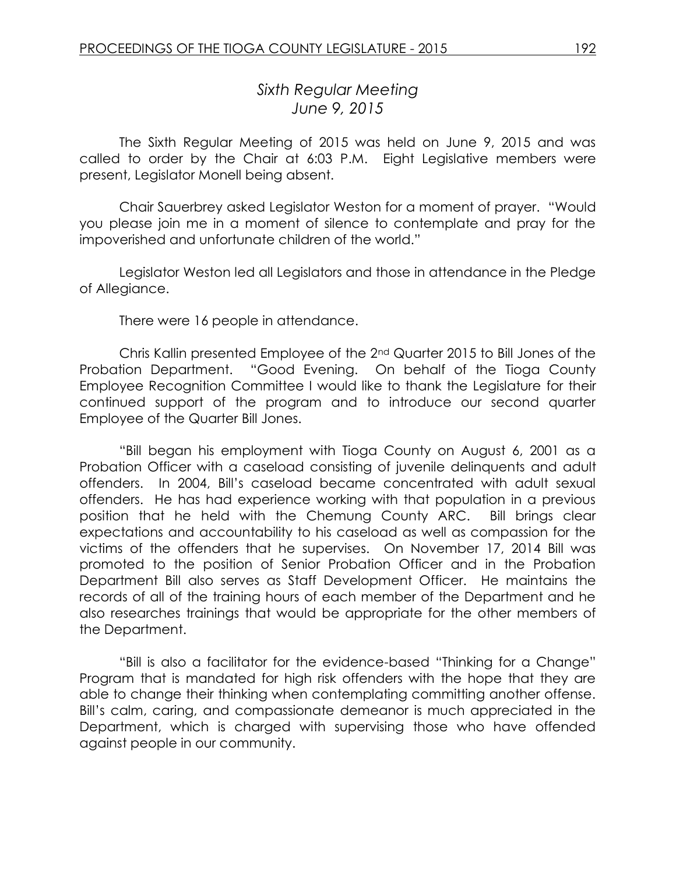# *Sixth Regular Meeting June 9, 2015*

The Sixth Regular Meeting of 2015 was held on June 9, 2015 and was called to order by the Chair at 6:03 P.M. Eight Legislative members were present, Legislator Monell being absent.

Chair Sauerbrey asked Legislator Weston for a moment of prayer. "Would you please join me in a moment of silence to contemplate and pray for the impoverished and unfortunate children of the world."

Legislator Weston led all Legislators and those in attendance in the Pledge of Allegiance.

There were 16 people in attendance.

Chris Kallin presented Employee of the 2nd Quarter 2015 to Bill Jones of the Probation Department. "Good Evening. On behalf of the Tioga County Employee Recognition Committee I would like to thank the Legislature for their continued support of the program and to introduce our second quarter Employee of the Quarter Bill Jones.

"Bill began his employment with Tioga County on August 6, 2001 as a Probation Officer with a caseload consisting of juvenile delinquents and adult offenders. In 2004, Bill's caseload became concentrated with adult sexual offenders. He has had experience working with that population in a previous position that he held with the Chemung County ARC. Bill brings clear expectations and accountability to his caseload as well as compassion for the victims of the offenders that he supervises. On November 17, 2014 Bill was promoted to the position of Senior Probation Officer and in the Probation Department Bill also serves as Staff Development Officer. He maintains the records of all of the training hours of each member of the Department and he also researches trainings that would be appropriate for the other members of the Department.

"Bill is also a facilitator for the evidence-based "Thinking for a Change" Program that is mandated for high risk offenders with the hope that they are able to change their thinking when contemplating committing another offense. Bill's calm, caring, and compassionate demeanor is much appreciated in the Department, which is charged with supervising those who have offended against people in our community.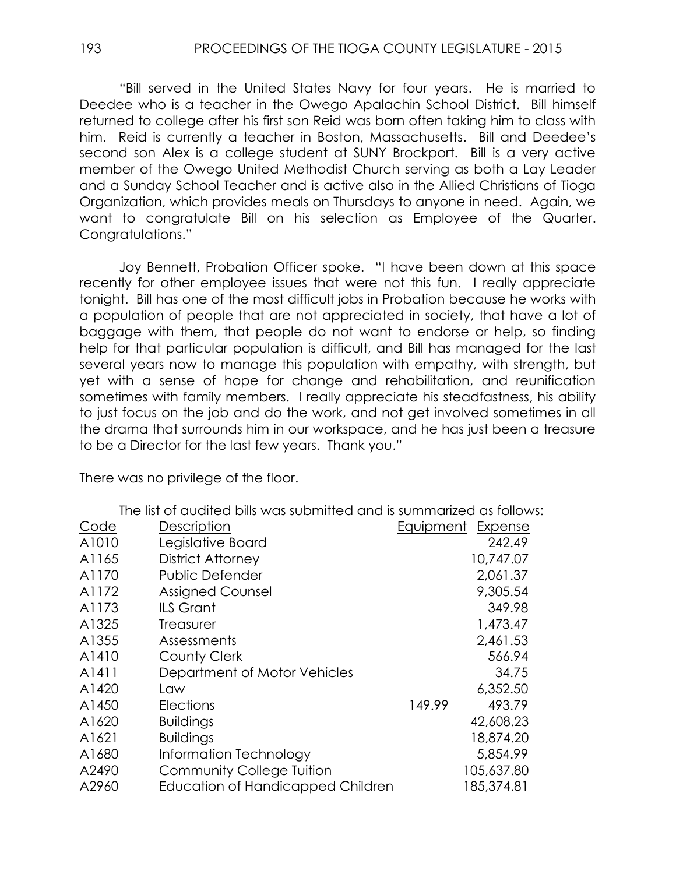"Bill served in the United States Navy for four years. He is married to Deedee who is a teacher in the Owego Apalachin School District. Bill himself returned to college after his first son Reid was born often taking him to class with him. Reid is currently a teacher in Boston, Massachusetts. Bill and Deedee's second son Alex is a college student at SUNY Brockport. Bill is a very active member of the Owego United Methodist Church serving as both a Lay Leader and a Sunday School Teacher and is active also in the Allied Christians of Tioga Organization, which provides meals on Thursdays to anyone in need. Again, we want to congratulate Bill on his selection as Employee of the Quarter. Congratulations."

Joy Bennett, Probation Officer spoke. "I have been down at this space recently for other employee issues that were not this fun. I really appreciate tonight. Bill has one of the most difficult jobs in Probation because he works with a population of people that are not appreciated in society, that have a lot of baggage with them, that people do not want to endorse or help, so finding help for that particular population is difficult, and Bill has managed for the last several years now to manage this population with empathy, with strength, but yet with a sense of hope for change and rehabilitation, and reunification sometimes with family members. I really appreciate his steadfastness, his ability to just focus on the job and do the work, and not get involved sometimes in all the drama that surrounds him in our workspace, and he has just been a treasure to be a Director for the last few years. Thank you."

There was no privilege of the floor.

The list of audited bills was submitted and is summarized as follows:

| Code  | Description                              | Equipment | <b>Expense</b> |
|-------|------------------------------------------|-----------|----------------|
| A1010 | Legislative Board                        |           | 242.49         |
| A1165 | <b>District Attorney</b>                 |           | 10,747.07      |
| A1170 | <b>Public Defender</b>                   |           | 2,061.37       |
| A1172 | <b>Assigned Counsel</b>                  |           | 9,305.54       |
| A1173 | <b>ILS Grant</b>                         |           | 349.98         |
| A1325 | <b>Treasurer</b>                         |           | 1,473.47       |
| A1355 | Assessments                              |           | 2,461.53       |
| A1410 | <b>County Clerk</b>                      |           | 566.94         |
| A1411 | Department of Motor Vehicles             |           | 34.75          |
| A1420 | Law                                      |           | 6,352.50       |
| A1450 | <b>Elections</b>                         | 149.99    | 493.79         |
| A1620 | <b>Buildings</b>                         |           | 42,608.23      |
| A1621 | <b>Buildings</b>                         |           | 18,874.20      |
| A1680 | Information Technology                   |           | 5,854.99       |
| A2490 | Community College Tuition                |           | 105,637.80     |
| A2960 | <b>Education of Handicapped Children</b> |           | 185,374.81     |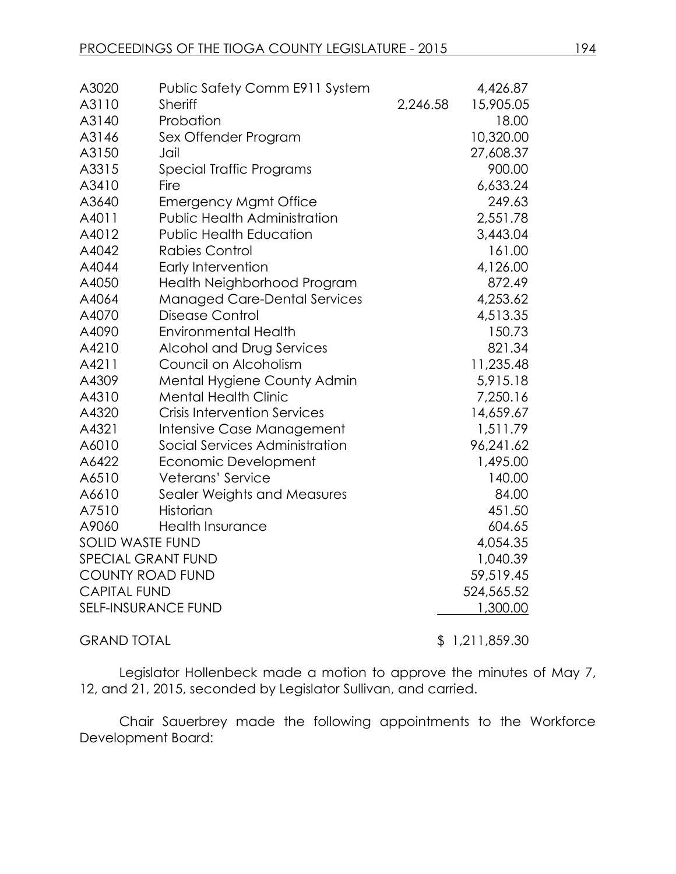| A3020                      | Public Safety Comm E911 System      |          | 4,426.87   |
|----------------------------|-------------------------------------|----------|------------|
| A3110                      | <b>Sheriff</b>                      | 2,246.58 | 15,905.05  |
| A3140                      | Probation                           |          | 18.00      |
| A3146                      | Sex Offender Program                |          | 10,320.00  |
| A3150                      | Jail                                |          | 27,608.37  |
| A3315                      | Special Traffic Programs            |          | 900.00     |
| A3410                      | Fire                                |          | 6,633.24   |
| A3640                      | <b>Emergency Mgmt Office</b>        |          | 249.63     |
| A4011                      | <b>Public Health Administration</b> |          | 2,551.78   |
| A4012                      | <b>Public Health Education</b>      |          | 3,443.04   |
| A4042                      | <b>Rabies Control</b>               |          | 161.00     |
| A4044                      | Early Intervention                  |          | 4,126.00   |
| A4050                      | Health Neighborhood Program         |          | 872.49     |
| A4064                      | <b>Managed Care-Dental Services</b> |          | 4,253.62   |
| A4070                      | Disease Control                     |          | 4,513.35   |
| A4090                      | <b>Environmental Health</b>         |          | 150.73     |
| A4210                      | <b>Alcohol and Drug Services</b>    |          | 821.34     |
| A4211                      | Council on Alcoholism               |          | 11,235.48  |
| A4309                      | Mental Hygiene County Admin         |          | 5,915.18   |
| A4310                      | <b>Mental Health Clinic</b>         |          | 7,250.16   |
| A4320                      | <b>Crisis Intervention Services</b> |          | 14,659.67  |
| A4321                      | Intensive Case Management           |          | 1,511.79   |
| A6010                      | Social Services Administration      |          | 96,241.62  |
| A6422                      | Economic Development                |          | 1,495.00   |
| A6510                      | Veterans' Service                   |          | 140.00     |
| A6610                      | Sealer Weights and Measures         |          | 84.00      |
| A7510                      | <b>Historian</b>                    |          | 451.50     |
| A9060                      | <b>Health Insurance</b>             |          | 604.65     |
| <b>SOLID WASTE FUND</b>    |                                     |          | 4,054.35   |
|                            | SPECIAL GRANT FUND                  |          | 1,040.39   |
|                            | <b>COUNTY ROAD FUND</b>             |          | 59,519.45  |
| <b>CAPITAL FUND</b>        |                                     |          | 524,565.52 |
| <b>SELF-INSURANCE FUND</b> |                                     |          | 1,300.00   |
|                            |                                     |          |            |

GRAND TOTAL \$ 1,211,859.30

Legislator Hollenbeck made a motion to approve the minutes of May 7, 12, and 21, 2015, seconded by Legislator Sullivan, and carried.

Chair Sauerbrey made the following appointments to the Workforce Development Board: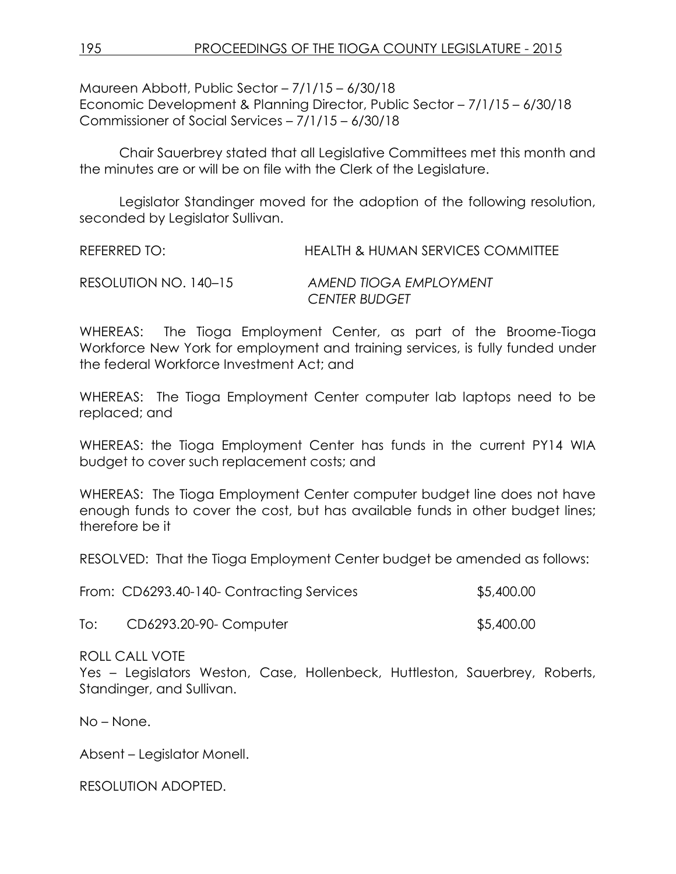Maureen Abbott, Public Sector – 7/1/15 – 6/30/18 Economic Development & Planning Director, Public Sector – 7/1/15 – 6/30/18 Commissioner of Social Services – 7/1/15 – 6/30/18

Chair Sauerbrey stated that all Legislative Committees met this month and the minutes are or will be on file with the Clerk of the Legislature.

Legislator Standinger moved for the adoption of the following resolution, seconded by Legislator Sullivan.

| REFERRED TO: | <b>HEALTH &amp; HUMAN SERVICES COMMITTEE</b> |
|--------------|----------------------------------------------|
|              |                                              |

RESOLUTION NO. 140–15 *AMEND TIOGA EMPLOYMENT CENTER BUDGET*

WHEREAS: The Tioga Employment Center, as part of the Broome-Tioga Workforce New York for employment and training services, is fully funded under the federal Workforce Investment Act; and

WHEREAS: The Tioga Employment Center computer lab laptops need to be replaced; and

WHEREAS: the Tioga Employment Center has funds in the current PY14 WIA budget to cover such replacement costs; and

WHEREAS: The Tioga Employment Center computer budget line does not have enough funds to cover the cost, but has available funds in other budget lines; therefore be it

RESOLVED: That the Tioga Employment Center budget be amended as follows:

| From: CD6293.40-140- Contracting Services | \$5,400.00 |
|-------------------------------------------|------------|
|                                           |            |

To: CD6293.20-90- Computer \$5,400.00

ROLL CALL VOTE

Yes – Legislators Weston, Case, Hollenbeck, Huttleston, Sauerbrey, Roberts, Standinger, and Sullivan.

No – None.

Absent – Legislator Monell.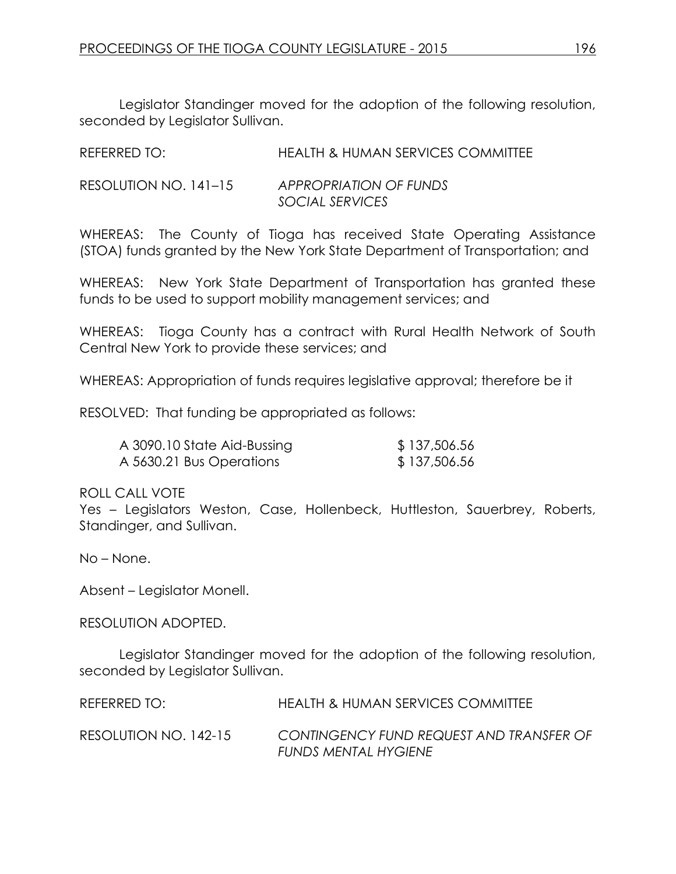| REFERRED TO:          | <b>HEALTH &amp; HUMAN SERVICES COMMITTEE</b> |
|-----------------------|----------------------------------------------|
| RESOLUTION NO. 141–15 | APPROPRIATION OF FUNDS                       |
|                       | SOCIAL SERVICES                              |

WHEREAS: The County of Tioga has received State Operating Assistance (STOA) funds granted by the New York State Department of Transportation; and

WHEREAS: New York State Department of Transportation has granted these funds to be used to support mobility management services; and

WHEREAS: Tioga County has a contract with Rural Health Network of South Central New York to provide these services; and

WHEREAS: Appropriation of funds requires legislative approval; therefore be it

RESOLVED: That funding be appropriated as follows:

| A 3090.10 State Aid-Bussing | \$137,506.56 |
|-----------------------------|--------------|
| A 5630.21 Bus Operations    | \$137,506.56 |

#### ROLL CALL VOTE

Yes – Legislators Weston, Case, Hollenbeck, Huttleston, Sauerbrey, Roberts, Standinger, and Sullivan.

No – None.

Absent – Legislator Monell.

RESOLUTION ADOPTED.

Legislator Standinger moved for the adoption of the following resolution, seconded by Legislator Sullivan.

| REFERRED TO:          | HEALTH & HUMAN SERVICES COMMITTEE                                       |
|-----------------------|-------------------------------------------------------------------------|
| RESOLUTION NO. 142-15 | CONTINGENCY FUND REQUEST AND TRANSFER OF<br><b>FUNDS MENTAL HYGIENE</b> |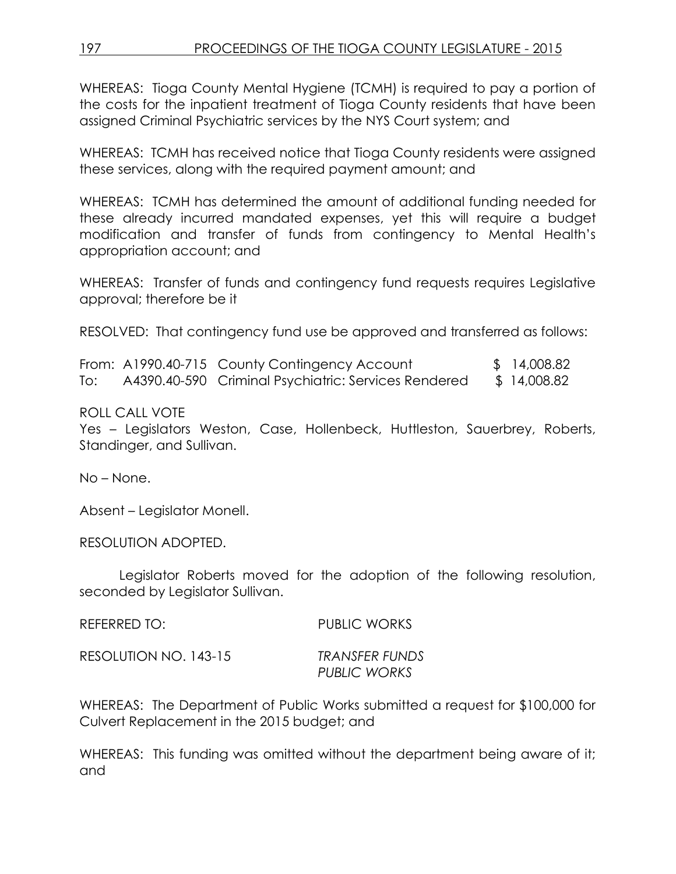WHEREAS: Tioga County Mental Hygiene (TCMH) is required to pay a portion of the costs for the inpatient treatment of Tioga County residents that have been assigned Criminal Psychiatric services by the NYS Court system; and

WHEREAS: TCMH has received notice that Tioga County residents were assigned these services, along with the required payment amount; and

WHEREAS: TCMH has determined the amount of additional funding needed for these already incurred mandated expenses, yet this will require a budget modification and transfer of funds from contingency to Mental Health's appropriation account; and

WHEREAS: Transfer of funds and contingency fund requests requires Legislative approval; therefore be it

RESOLVED: That contingency fund use be approved and transferred as follows:

|     | From: A1990.40-715 County Contingency Account        | \$ 14,008.82 |
|-----|------------------------------------------------------|--------------|
| To: | A4390.40-590 Criminal Psychiatric: Services Rendered | \$14,008.82  |

### ROLL CALL VOTE

Yes – Legislators Weston, Case, Hollenbeck, Huttleston, Sauerbrey, Roberts, Standinger, and Sullivan.

No – None.

Absent – Legislator Monell.

RESOLUTION ADOPTED.

Legislator Roberts moved for the adoption of the following resolution, seconded by Legislator Sullivan.

REFERRED TO: PUBLIC WORKS RESOLUTION NO. 143-15 *TRANSFER FUNDS PUBLIC WORKS*

WHEREAS: The Department of Public Works submitted a request for \$100,000 for Culvert Replacement in the 2015 budget; and

WHEREAS: This funding was omitted without the department being aware of it; and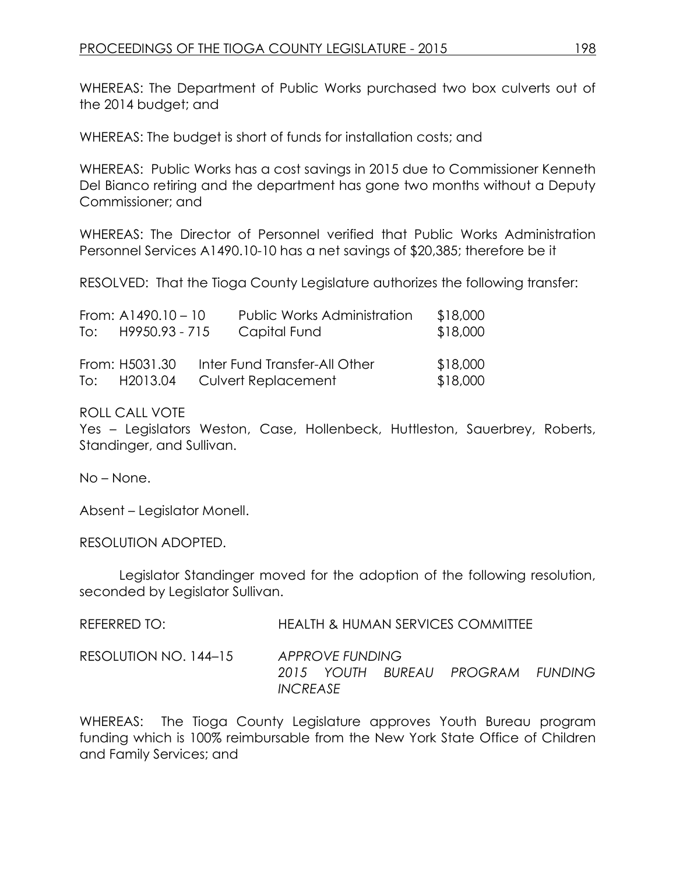WHEREAS: The Department of Public Works purchased two box culverts out of the 2014 budget; and

WHEREAS: The budget is short of funds for installation costs; and

WHEREAS: Public Works has a cost savings in 2015 due to Commissioner Kenneth Del Bianco retiring and the department has gone two months without a Deputy Commissioner; and

WHEREAS: The Director of Personnel verified that Public Works Administration Personnel Services A1490.10-10 has a net savings of \$20,385; therefore be it

RESOLVED: That the Tioga County Legislature authorizes the following transfer:

| From: $A1490.10 - 10$ | Public Works Administration   | \$18,000 |
|-----------------------|-------------------------------|----------|
| To: $H9950.93 - 715$  | Capital Fund                  | \$18,000 |
|                       |                               |          |
| From: H5031.30        | Inter Fund Transfer-All Other | \$18,000 |
| To: H2013.04          | <b>Culvert Replacement</b>    | \$18,000 |

#### ROLL CALL VOTE

Yes – Legislators Weston, Case, Hollenbeck, Huttleston, Sauerbrey, Roberts, Standinger, and Sullivan.

No – None.

Absent – Legislator Monell.

RESOLUTION ADOPTED.

Legislator Standinger moved for the adoption of the following resolution, seconded by Legislator Sullivan.

| REFERRED TO: | <b>HEALTH &amp; HUMAN SERVICES COMMITTEE</b> |
|--------------|----------------------------------------------|
|--------------|----------------------------------------------|

RESOLUTION NO. 144–15 *APPROVE FUNDING 2015 YOUTH BUREAU PROGRAM FUNDING INCREASE*

WHEREAS: The Tioga County Legislature approves Youth Bureau program funding which is 100% reimbursable from the New York State Office of Children and Family Services; and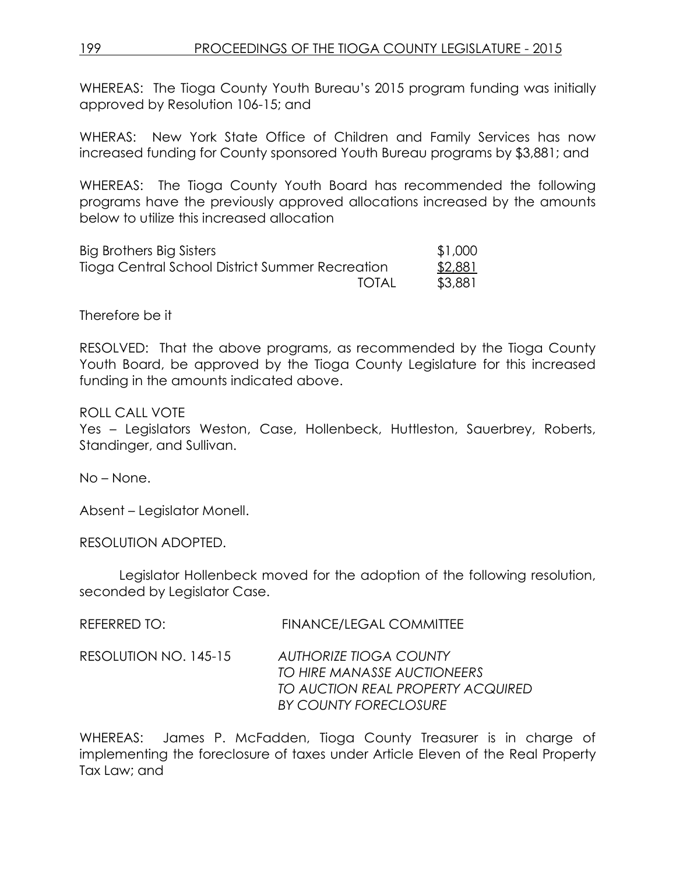## 199 PROCEEDINGS OF THE TIOGA COUNTY LEGISLATURE - 2015

WHEREAS: The Tioga County Youth Bureau's 2015 program funding was initially approved by Resolution 106-15; and

WHERAS: New York State Office of Children and Family Services has now increased funding for County sponsored Youth Bureau programs by \$3,881; and

WHEREAS: The Tioga County Youth Board has recommended the following programs have the previously approved allocations increased by the amounts below to utilize this increased allocation

| Big Brothers Big Sisters                        | \$1,000 |
|-------------------------------------------------|---------|
| Tioga Central School District Summer Recreation | \$2,881 |
| TOTAL                                           | \$3,881 |

Therefore be it

RESOLVED: That the above programs, as recommended by the Tioga County Youth Board, be approved by the Tioga County Legislature for this increased funding in the amounts indicated above.

ROLL CALL VOTE

Yes – Legislators Weston, Case, Hollenbeck, Huttleston, Sauerbrey, Roberts, Standinger, and Sullivan.

No – None.

Absent – Legislator Monell.

RESOLUTION ADOPTED.

Legislator Hollenbeck moved for the adoption of the following resolution, seconded by Legislator Case.

| REFERRED TO: | <b>FINANCE/LEGAL COMMITTEE</b> |
|--------------|--------------------------------|
|              |                                |

RESOLUTION NO. 145-15 *AUTHORIZE TIOGA COUNTY TO HIRE MANASSE AUCTIONEERS TO AUCTION REAL PROPERTY ACQUIRED BY COUNTY FORECLOSURE*

WHEREAS: James P. McFadden, Tioga County Treasurer is in charge of implementing the foreclosure of taxes under Article Eleven of the Real Property Tax Law; and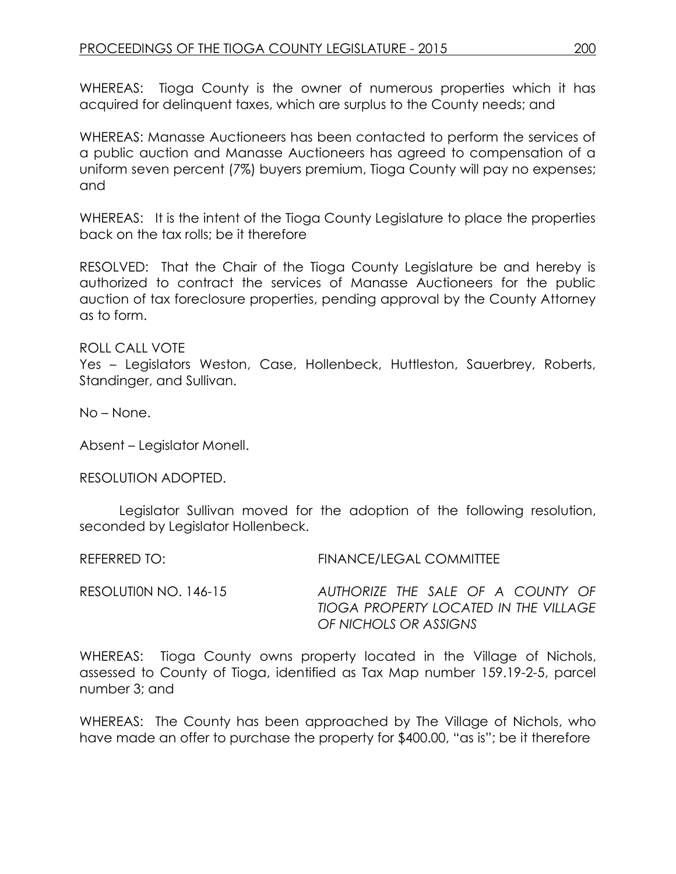WHEREAS: Tioga County is the owner of numerous properties which it has acquired for delinquent taxes, which are surplus to the County needs; and

WHEREAS: Manasse Auctioneers has been contacted to perform the services of a public auction and Manasse Auctioneers has agreed to compensation of a uniform seven percent (7%) buyers premium, Tioga County will pay no expenses; and

WHEREAS: It is the intent of the Tioga County Legislature to place the properties back on the tax rolls; be it therefore

RESOLVED: That the Chair of the Tioga County Legislature be and hereby is authorized to contract the services of Manasse Auctioneers for the public auction of tax foreclosure properties, pending approval by the County Attorney as to form.

#### ROLL CALL VOTE

Yes – Legislators Weston, Case, Hollenbeck, Huttleston, Sauerbrey, Roberts, Standinger, and Sullivan.

No – None.

Absent – Legislator Monell.

RESOLUTION ADOPTED.

Legislator Sullivan moved for the adoption of the following resolution, seconded by Legislator Hollenbeck.

REFERRED TO: FINANCE/LEGAL COMMITTEE RESOLUTI0N NO. 146-15 *AUTHORIZE THE SALE OF A COUNTY OF* 

*TIOGA PROPERTY LOCATED IN THE VILLAGE OF NICHOLS OR ASSIGNS* 

WHEREAS: Tioga County owns property located in the Village of Nichols, assessed to County of Tioga, identified as Tax Map number 159.19-2-5, parcel number 3; and

WHEREAS: The County has been approached by The Village of Nichols, who have made an offer to purchase the property for \$400.00, "as is"; be it therefore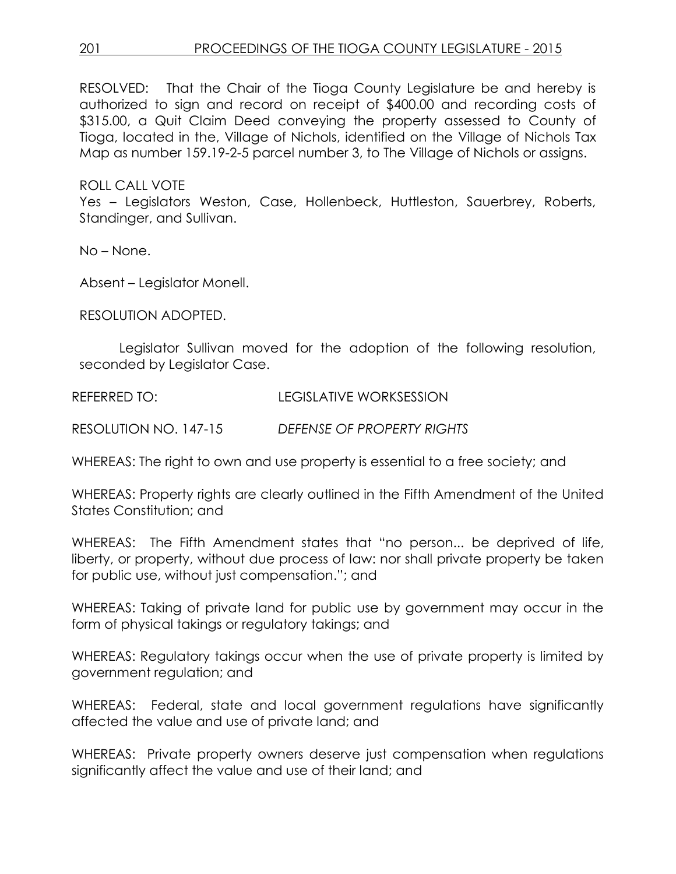# 201 PROCEEDINGS OF THE TIOGA COUNTY LEGISLATURE - 2015

RESOLVED: That the Chair of the Tioga County Legislature be and hereby is authorized to sign and record on receipt of \$400.00 and recording costs of \$315.00, a Quit Claim Deed conveying the property assessed to County of Tioga, located in the, Village of Nichols, identified on the Village of Nichols Tax Map as number 159.19-2-5 parcel number 3, to The Village of Nichols or assigns.

ROLL CALL VOTE

Yes – Legislators Weston, Case, Hollenbeck, Huttleston, Sauerbrey, Roberts, Standinger, and Sullivan.

No – None.

Absent – Legislator Monell.

RESOLUTION ADOPTED.

Legislator Sullivan moved for the adoption of the following resolution, seconded by Legislator Case.

REFERRED TO: LEGISLATIVE WORKSESSION

RESOLUTION NO. 147-15 *DEFENSE OF PROPERTY RIGHTS*

WHEREAS: The right to own and use property is essential to a free society; and

WHEREAS: Property rights are clearly outlined in the Fifth Amendment of the United States Constitution; and

WHEREAS: The Fifth Amendment states that "no person... be deprived of life, liberty, or property, without due process of law: nor shall private property be taken for public use, without just compensation."; and

WHEREAS: Taking of private land for public use by government may occur in the form of physical takings or regulatory takings; and

WHEREAS: Regulatory takings occur when the use of private property is limited by government regulation; and

WHEREAS: Federal, state and local government regulations have significantly affected the value and use of private land; and

WHEREAS: Private property owners deserve just compensation when regulations significantly affect the value and use of their land; and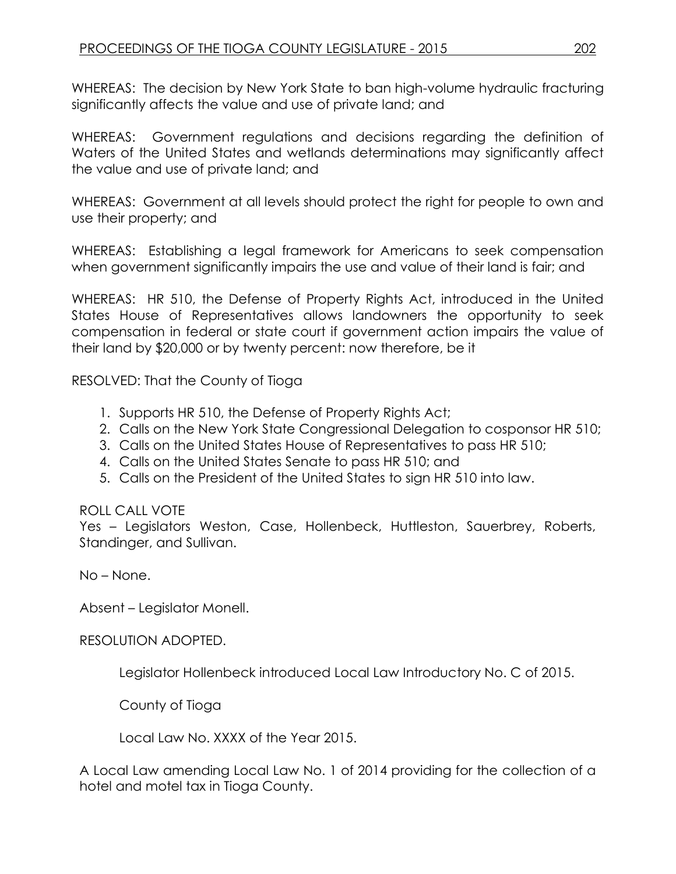WHEREAS: The decision by New York State to ban high-volume hydraulic fracturing significantly affects the value and use of private land; and

WHEREAS: Government regulations and decisions regarding the definition of Waters of the United States and wetlands determinations may significantly affect the value and use of private land; and

WHEREAS: Government at all levels should protect the right for people to own and use their property; and

WHEREAS: Establishing a legal framework for Americans to seek compensation when government significantly impairs the use and value of their land is fair; and

WHEREAS: HR 510, the Defense of Property Rights Act, introduced in the United States House of Representatives allows landowners the opportunity to seek compensation in federal or state court if government action impairs the value of their land by \$20,000 or by twenty percent: now therefore, be it

RESOLVED: That the County of Tioga

- 1. Supports HR 510, the Defense of Property Rights Act;
- 2. Calls on the New York State Congressional Delegation to cosponsor HR 510;
- 3. Calls on the United States House of Representatives to pass HR 510;
- 4. Calls on the United States Senate to pass HR 510; and
- 5. Calls on the President of the United States to sign HR 510 into law.

### ROLL CALL VOTE

Yes – Legislators Weston, Case, Hollenbeck, Huttleston, Sauerbrey, Roberts, Standinger, and Sullivan.

No – None.

Absent – Legislator Monell.

### RESOLUTION ADOPTED.

Legislator Hollenbeck introduced Local Law Introductory No. C of 2015.

County of Tioga

Local Law No. XXXX of the Year 2015.

A Local Law amending Local Law No. 1 of 2014 providing for the collection of a hotel and motel tax in Tioga County.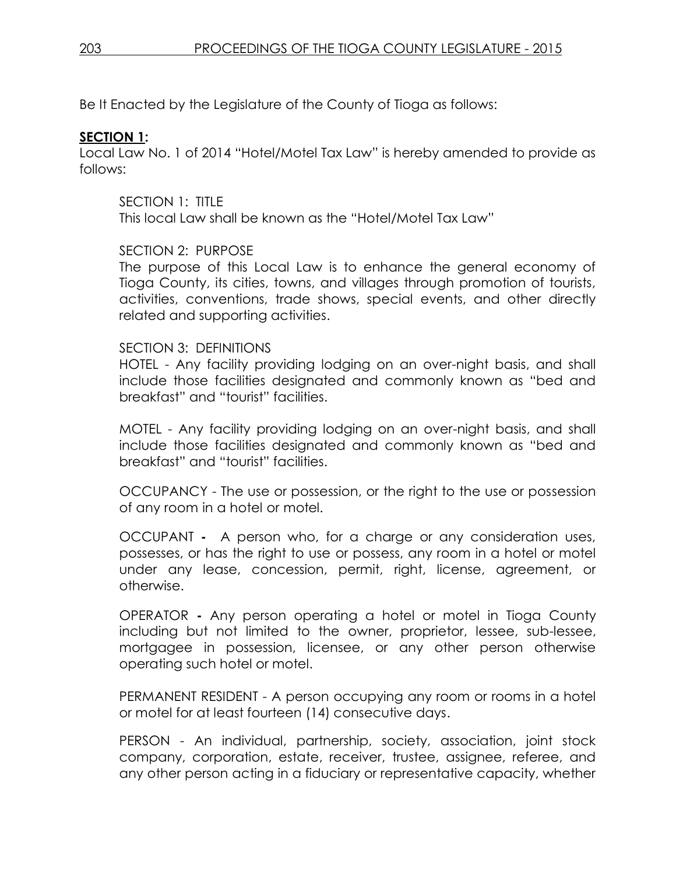Be It Enacted by the Legislature of the County of Tioga as follows:

## **SECTION 1:**

Local Law No. 1 of 2014 "Hotel/Motel Tax Law" is hereby amended to provide as follows:

# SECTION 1: TITLE

This local Law shall be known as the "Hotel/Motel Tax Law"

# SECTION 2: PURPOSE

The purpose of this Local Law is to enhance the general economy of Tioga County, its cities, towns, and villages through promotion of tourists, activities, conventions, trade shows, special events, and other directly related and supporting activities.

### SECTION 3: DEFINITIONS

HOTEL - Any facility providing lodging on an over-night basis, and shall include those facilities designated and commonly known as "bed and breakfast" and "tourist" facilities.

MOTEL - Any facility providing lodging on an over-night basis, and shall include those facilities designated and commonly known as "bed and breakfast" and "tourist" facilities.

OCCUPANCY - The use or possession, or the right to the use or possession of any room in a hotel or motel.

OCCUPANT **-** A person who, for a charge or any consideration uses, possesses, or has the right to use or possess, any room in a hotel or motel under any lease, concession, permit, right, license, agreement, or otherwise.

OPERATOR **-** Any person operating a hotel or motel in Tioga County including but not limited to the owner, proprietor, lessee, sub-lessee, mortgagee in possession, licensee, or any other person otherwise operating such hotel or motel.

PERMANENT RESIDENT - A person occupying any room or rooms in a hotel or motel for at least fourteen (14) consecutive days.

PERSON - An individual, partnership, society, association, joint stock company, corporation, estate, receiver, trustee, assignee, referee, and any other person acting in a fiduciary or representative capacity, whether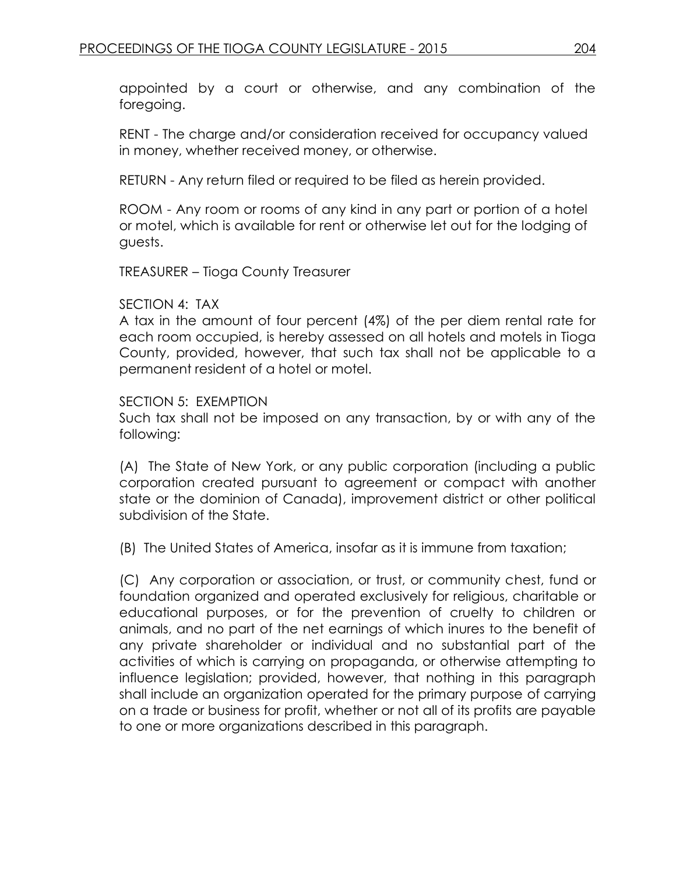appointed by a court or otherwise, and any combination of the foregoing.

RENT - The charge and/or consideration received for occupancy valued in money, whether received money, or otherwise.

RETURN - Any return filed or required to be filed as herein provided.

ROOM - Any room or rooms of any kind in any part or portion of a hotel or motel, which is available for rent or otherwise let out for the lodging of guests.

TREASURER – Tioga County Treasurer

#### SECTION 4: TAX

A tax in the amount of four percent (4%) of the per diem rental rate for each room occupied, is hereby assessed on all hotels and motels in Tioga County, provided, however, that such tax shall not be applicable to a permanent resident of a hotel or motel.

#### SECTION 5: EXEMPTION

Such tax shall not be imposed on any transaction, by or with any of the following:

(A) The State of New York, or any public corporation (including a public corporation created pursuant to agreement or compact with another state or the dominion of Canada), improvement district or other political subdivision of the State.

(B) The United States of America, insofar as it is immune from taxation;

(C) Any corporation or association, or trust, or community chest, fund or foundation organized and operated exclusively for religious, charitable or educational purposes, or for the prevention of cruelty to children or animals, and no part of the net earnings of which inures to the benefit of any private shareholder or individual and no substantial part of the activities of which is carrying on propaganda, or otherwise attempting to influence legislation; provided, however, that nothing in this paragraph shall include an organization operated for the primary purpose of carrying on a trade or business for profit, whether or not all of its profits are payable to one or more organizations described in this paragraph.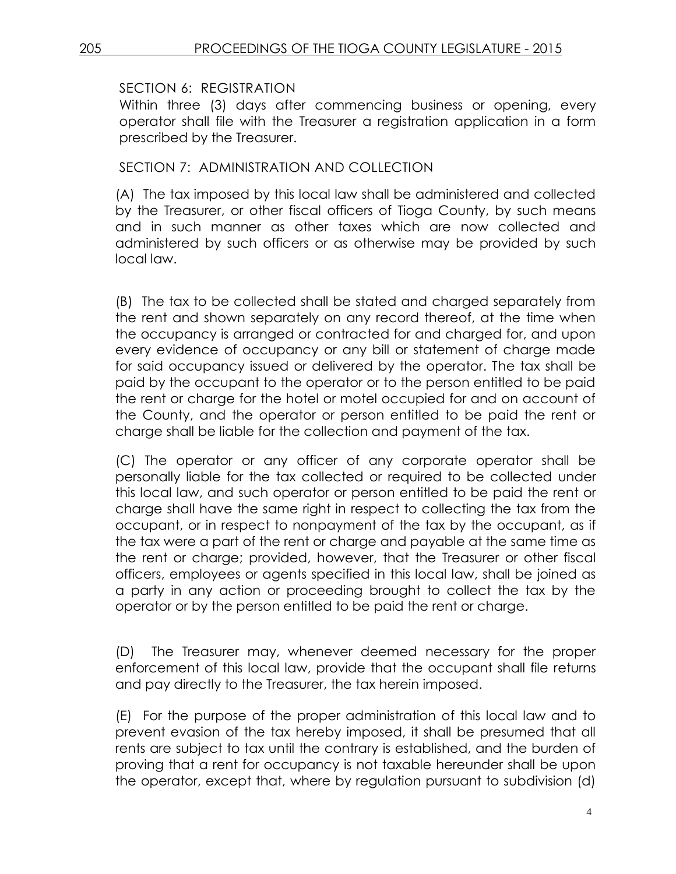# SECTION 6: REGISTRATION

Within three (3) days after commencing business or opening, every operator shall file with the Treasurer a registration application in a form prescribed by the Treasurer.

# SECTION 7: ADMINISTRATION AND COLLECTION

(A) The tax imposed by this local law shall be administered and collected by the Treasurer, or other fiscal officers of Tioga County, by such means and in such manner as other taxes which are now collected and administered by such officers or as otherwise may be provided by such local law.

(B) The tax to be collected shall be stated and charged separately from the rent and shown separately on any record thereof, at the time when the occupancy is arranged or contracted for and charged for, and upon every evidence of occupancy or any bill or statement of charge made for said occupancy issued or delivered by the operator. The tax shall be paid by the occupant to the operator or to the person entitled to be paid the rent or charge for the hotel or motel occupied for and on account of the County, and the operator or person entitled to be paid the rent or charge shall be liable for the collection and payment of the tax.

(C) The operator or any officer of any corporate operator shall be personally liable for the tax collected or required to be collected under this local law, and such operator or person entitled to be paid the rent or charge shall have the same right in respect to collecting the tax from the occupant, or in respect to nonpayment of the tax by the occupant, as if the tax were a part of the rent or charge and payable at the same time as the rent or charge; provided, however, that the Treasurer or other fiscal officers, employees or agents specified in this local law, shall be joined as a party in any action or proceeding brought to collect the tax by the operator or by the person entitled to be paid the rent or charge.

(D) The Treasurer may, whenever deemed necessary for the proper enforcement of this local law, provide that the occupant shall file returns and pay directly to the Treasurer, the tax herein imposed.

(E) For the purpose of the proper administration of this local law and to prevent evasion of the tax hereby imposed, it shall be presumed that all rents are subject to tax until the contrary is established, and the burden of proving that a rent for occupancy is not taxable hereunder shall be upon the operator, except that, where by regulation pursuant to subdivision (d)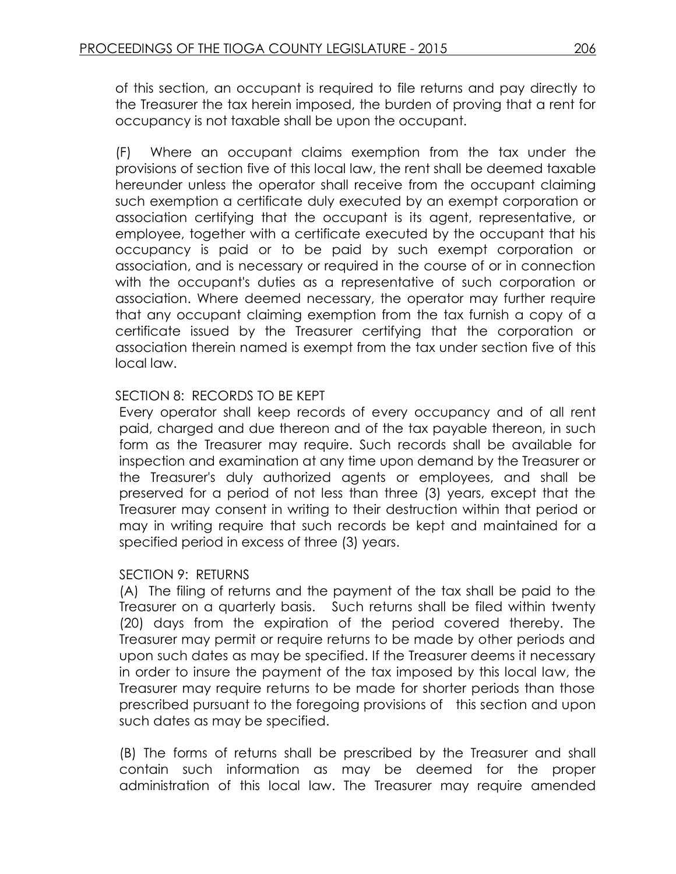of this section, an occupant is required to file returns and pay directly to the Treasurer the tax herein imposed, the burden of proving that a rent for occupancy is not taxable shall be upon the occupant.

(F) Where an occupant claims exemption from the tax under the provisions of section five of this local law, the rent shall be deemed taxable hereunder unless the operator shall receive from the occupant claiming such exemption a certificate duly executed by an exempt corporation or association certifying that the occupant is its agent, representative, or employee, together with a certificate executed by the occupant that his occupancy is paid or to be paid by such exempt corporation or association, and is necessary or required in the course of or in connection with the occupant's duties as a representative of such corporation or association. Where deemed necessary, the operator may further require that any occupant claiming exemption from the tax furnish a copy of a certificate issued by the Treasurer certifying that the corporation or association therein named is exempt from the tax under section five of this local law.

# SECTION 8: RECORDS TO BE KEPT

Every operator shall keep records of every occupancy and of all rent paid, charged and due thereon and of the tax payable thereon, in such form as the Treasurer may require. Such records shall be available for inspection and examination at any time upon demand by the Treasurer or the Treasurer's duly authorized agents or employees, and shall be preserved for a period of not less than three (3) years, except that the Treasurer may consent in writing to their destruction within that period or may in writing require that such records be kept and maintained for a specified period in excess of three (3) years.

### SECTION 9: RETURNS

(A) The filing of returns and the payment of the tax shall be paid to the Treasurer on a quarterly basis. Such returns shall be filed within twenty (20) days from the expiration of the period covered thereby. The Treasurer may permit or require returns to be made by other periods and upon such dates as may be specified. If the Treasurer deems it necessary in order to insure the payment of the tax imposed by this local law, the Treasurer may require returns to be made for shorter periods than those prescribed pursuant to the foregoing provisions of this section and upon such dates as may be specified.

(B) The forms of returns shall be prescribed by the Treasurer and shall contain such information as may be deemed for the proper administration of this local law. The Treasurer may require amended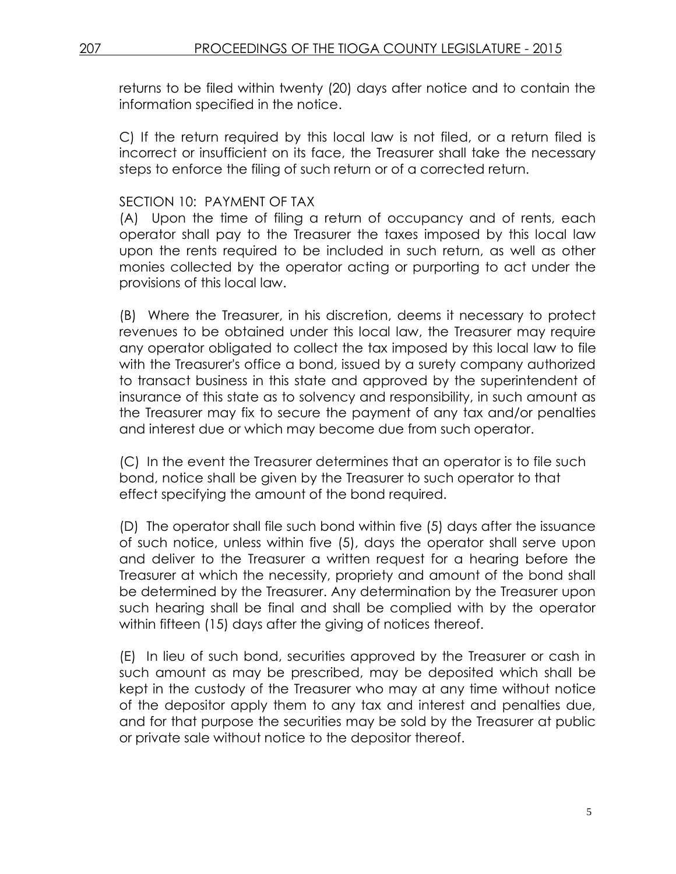returns to be filed within twenty (20) days after notice and to contain the information specified in the notice.

C) If the return required by this local law is not filed, or a return filed is incorrect or insufficient on its face, the Treasurer shall take the necessary steps to enforce the filing of such return or of a corrected return.

#### SECTION 10: PAYMENT OF TAX

(A) Upon the time of filing a return of occupancy and of rents, each operator shall pay to the Treasurer the taxes imposed by this local law upon the rents required to be included in such return, as well as other monies collected by the operator acting or purporting to act under the provisions of this local law.

(B) Where the Treasurer, in his discretion, deems it necessary to protect revenues to be obtained under this local law, the Treasurer may require any operator obligated to collect the tax imposed by this local law to file with the Treasurer's office a bond, issued by a surety company authorized to transact business in this state and approved by the superintendent of insurance of this state as to solvency and responsibility, in such amount as the Treasurer may fix to secure the payment of any tax and/or penalties and interest due or which may become due from such operator.

(C) In the event the Treasurer determines that an operator is to file such bond, notice shall be given by the Treasurer to such operator to that effect specifying the amount of the bond required.

(D) The operator shall file such bond within five (5) days after the issuance of such notice, unless within five (5), days the operator shall serve upon and deliver to the Treasurer a written request for a hearing before the Treasurer at which the necessity, propriety and amount of the bond shall be determined by the Treasurer. Any determination by the Treasurer upon such hearing shall be final and shall be complied with by the operator within fifteen (15) days after the giving of notices thereof.

(E) In lieu of such bond, securities approved by the Treasurer or cash in such amount as may be prescribed, may be deposited which shall be kept in the custody of the Treasurer who may at any time without notice of the depositor apply them to any tax and interest and penalties due, and for that purpose the securities may be sold by the Treasurer at public or private sale without notice to the depositor thereof.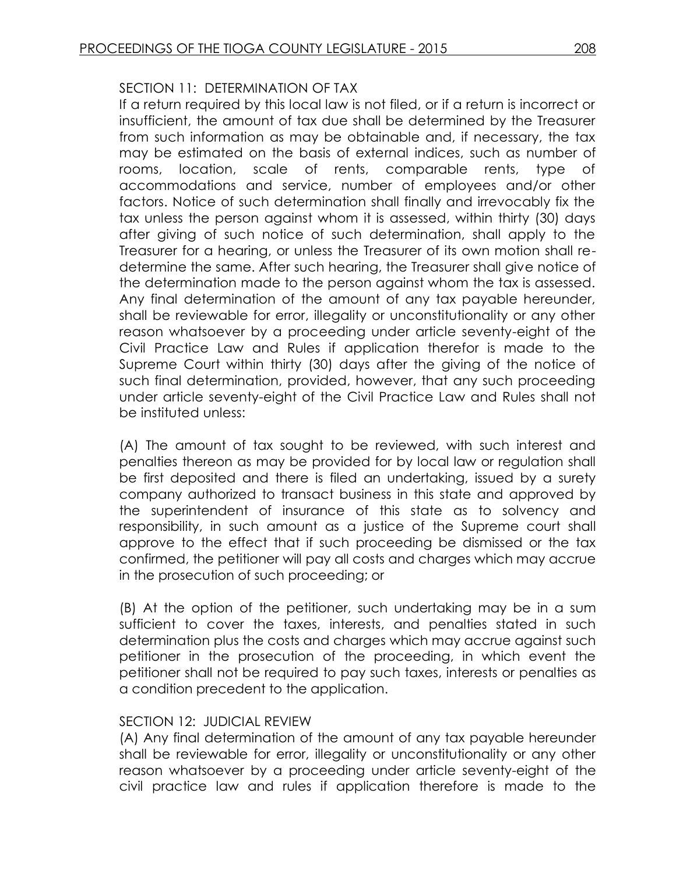# SECTION 11: DETERMINATION OF TAX

If a return required by this local law is not filed, or if a return is incorrect or insufficient, the amount of tax due shall be determined by the Treasurer from such information as may be obtainable and, if necessary, the tax may be estimated on the basis of external indices, such as number of rooms, location, scale of rents, comparable rents, type of accommodations and service, number of employees and/or other factors. Notice of such determination shall finally and irrevocably fix the tax unless the person against whom it is assessed, within thirty (30) days after giving of such notice of such determination, shall apply to the Treasurer for a hearing, or unless the Treasurer of its own motion shall redetermine the same. After such hearing, the Treasurer shall give notice of the determination made to the person against whom the tax is assessed. Any final determination of the amount of any tax payable hereunder, shall be reviewable for error, illegality or unconstitutionality or any other reason whatsoever by a proceeding under article seventy-eight of the Civil Practice Law and Rules if application therefor is made to the Supreme Court within thirty (30) days after the giving of the notice of such final determination, provided, however, that any such proceeding under article seventy-eight of the Civil Practice Law and Rules shall not be instituted unless:

(A) The amount of tax sought to be reviewed, with such interest and penalties thereon as may be provided for by local law or regulation shall be first deposited and there is filed an undertaking, issued by a surety company authorized to transact business in this state and approved by the superintendent of insurance of this state as to solvency and responsibility, in such amount as a justice of the Supreme court shall approve to the effect that if such proceeding be dismissed or the tax confirmed, the petitioner will pay all costs and charges which may accrue in the prosecution of such proceeding; or

(B) At the option of the petitioner, such undertaking may be in a sum sufficient to cover the taxes, interests, and penalties stated in such determination plus the costs and charges which may accrue against such petitioner in the prosecution of the proceeding, in which event the petitioner shall not be required to pay such taxes, interests or penalties as a condition precedent to the application.

### SECTION 12: JUDICIAL REVIEW

(A) Any final determination of the amount of any tax payable hereunder shall be reviewable for error, illegality or unconstitutionality or any other reason whatsoever by a proceeding under article seventy-eight of the civil practice law and rules if application therefore is made to the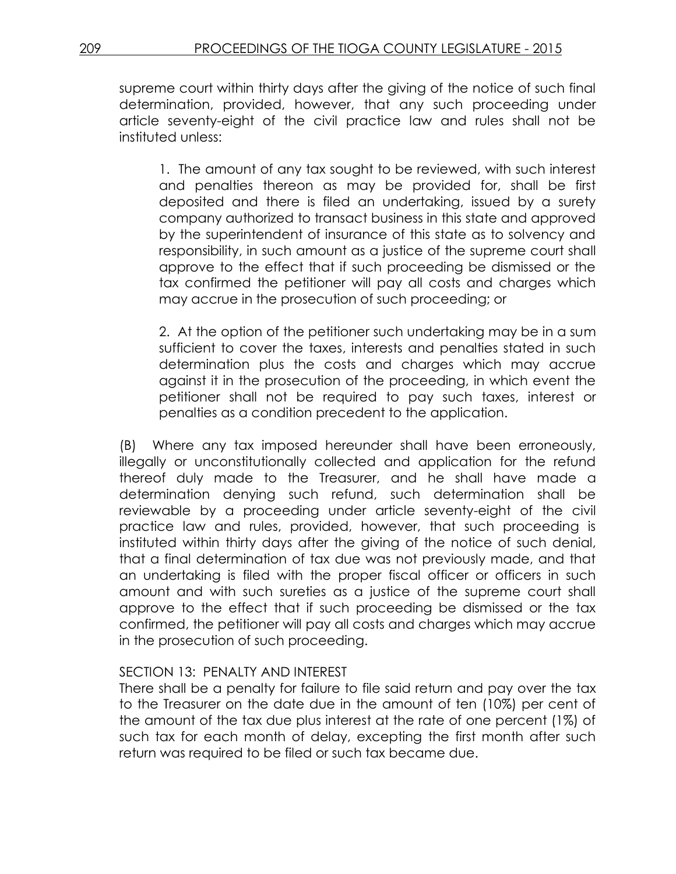supreme court within thirty days after the giving of the notice of such final determination, provided, however, that any such proceeding under article seventy-eight of the civil practice law and rules shall not be instituted unless:

1. The amount of any tax sought to be reviewed, with such interest and penalties thereon as may be provided for, shall be first deposited and there is filed an undertaking, issued by a surety company authorized to transact business in this state and approved by the superintendent of insurance of this state as to solvency and responsibility, in such amount as a justice of the supreme court shall approve to the effect that if such proceeding be dismissed or the tax confirmed the petitioner will pay all costs and charges which may accrue in the prosecution of such proceeding; or

2. At the option of the petitioner such undertaking may be in a sum sufficient to cover the taxes, interests and penalties stated in such determination plus the costs and charges which may accrue against it in the prosecution of the proceeding, in which event the petitioner shall not be required to pay such taxes, interest or penalties as a condition precedent to the application.

(B) Where any tax imposed hereunder shall have been erroneously, illegally or unconstitutionally collected and application for the refund thereof duly made to the Treasurer, and he shall have made a determination denying such refund, such determination shall be reviewable by a proceeding under article seventy-eight of the civil practice law and rules, provided, however, that such proceeding is instituted within thirty days after the giving of the notice of such denial, that a final determination of tax due was not previously made, and that an undertaking is filed with the proper fiscal officer or officers in such amount and with such sureties as a justice of the supreme court shall approve to the effect that if such proceeding be dismissed or the tax confirmed, the petitioner will pay all costs and charges which may accrue in the prosecution of such proceeding.

### SECTION 13: PENALTY AND INTEREST

There shall be a penalty for failure to file said return and pay over the tax to the Treasurer on the date due in the amount of ten (10%) per cent of the amount of the tax due plus interest at the rate of one percent (1%) of such tax for each month of delay, excepting the first month after such return was required to be filed or such tax became due.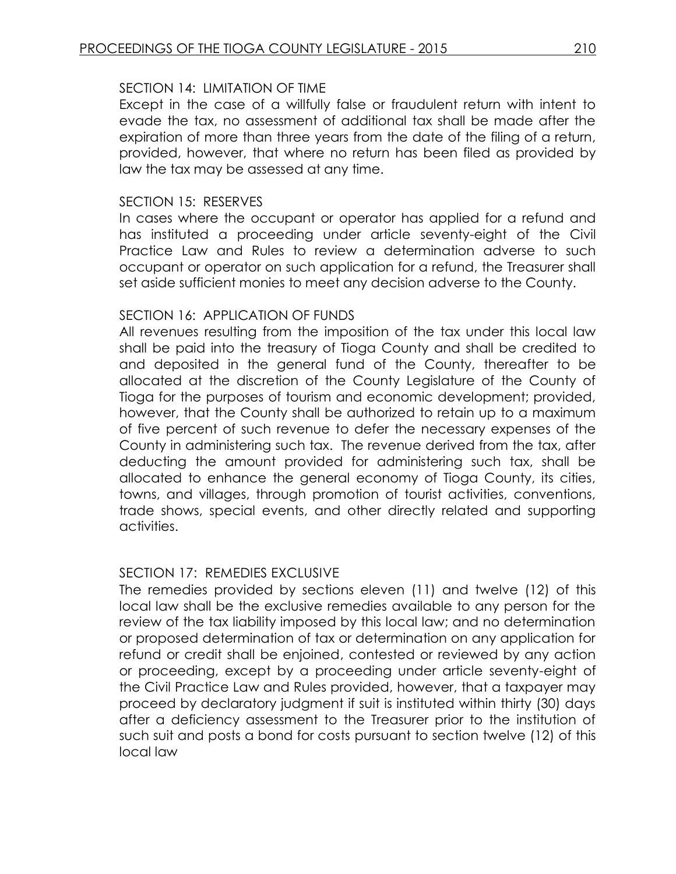## SECTION 14: LIMITATION OF TIME

Except in the case of a willfully false or fraudulent return with intent to evade the tax, no assessment of additional tax shall be made after the expiration of more than three years from the date of the filing of a return, provided, however, that where no return has been filed as provided by law the tax may be assessed at any time.

## SECTION 15: RESERVES

In cases where the occupant or operator has applied for a refund and has instituted a proceeding under article seventy-eight of the Civil Practice Law and Rules to review a determination adverse to such occupant or operator on such application for a refund, the Treasurer shall set aside sufficient monies to meet any decision adverse to the County.

### SECTION 16: APPLICATION OF FUNDS

All revenues resulting from the imposition of the tax under this local law shall be paid into the treasury of Tioga County and shall be credited to and deposited in the general fund of the County, thereafter to be allocated at the discretion of the County Legislature of the County of Tioga for the purposes of tourism and economic development; provided, however, that the County shall be authorized to retain up to a maximum of five percent of such revenue to defer the necessary expenses of the County in administering such tax. The revenue derived from the tax, after deducting the amount provided for administering such tax, shall be allocated to enhance the general economy of Tioga County, its cities, towns, and villages, through promotion of tourist activities, conventions, trade shows, special events, and other directly related and supporting activities.

### SECTION 17: REMEDIES EXCLUSIVE

The remedies provided by sections eleven (11) and twelve (12) of this local law shall be the exclusive remedies available to any person for the review of the tax liability imposed by this local law; and no determination or proposed determination of tax or determination on any application for refund or credit shall be enjoined, contested or reviewed by any action or proceeding, except by a proceeding under article seventy-eight of the Civil Practice Law and Rules provided, however, that a taxpayer may proceed by declaratory judgment if suit is instituted within thirty (30) days after a deficiency assessment to the Treasurer prior to the institution of such suit and posts a bond for costs pursuant to section twelve (12) of this local law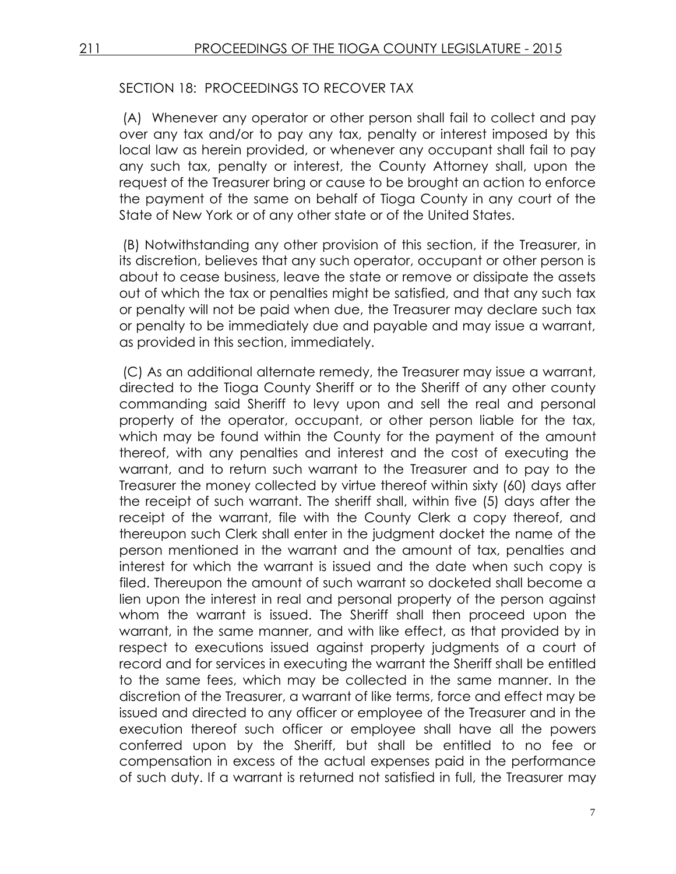## SECTION 18: PROCEEDINGS TO RECOVER TAX

(A) Whenever any operator or other person shall fail to collect and pay over any tax and/or to pay any tax, penalty or interest imposed by this local law as herein provided, or whenever any occupant shall fail to pay any such tax, penalty or interest, the County Attorney shall, upon the request of the Treasurer bring or cause to be brought an action to enforce the payment of the same on behalf of Tioga County in any court of the State of New York or of any other state or of the United States.

(B) Notwithstanding any other provision of this section, if the Treasurer, in its discretion, believes that any such operator, occupant or other person is about to cease business, leave the state or remove or dissipate the assets out of which the tax or penalties might be satisfied, and that any such tax or penalty will not be paid when due, the Treasurer may declare such tax or penalty to be immediately due and payable and may issue a warrant, as provided in this section, immediately.

(C) As an additional alternate remedy, the Treasurer may issue a warrant, directed to the Tioga County Sheriff or to the Sheriff of any other county commanding said Sheriff to levy upon and sell the real and personal property of the operator, occupant, or other person liable for the tax, which may be found within the County for the payment of the amount thereof, with any penalties and interest and the cost of executing the warrant, and to return such warrant to the Treasurer and to pay to the Treasurer the money collected by virtue thereof within sixty (60) days after the receipt of such warrant. The sheriff shall, within five (5) days after the receipt of the warrant, file with the County Clerk a copy thereof, and thereupon such Clerk shall enter in the judgment docket the name of the person mentioned in the warrant and the amount of tax, penalties and interest for which the warrant is issued and the date when such copy is filed. Thereupon the amount of such warrant so docketed shall become a lien upon the interest in real and personal property of the person against whom the warrant is issued. The Sheriff shall then proceed upon the warrant, in the same manner, and with like effect, as that provided by in respect to executions issued against property judgments of a court of record and for services in executing the warrant the Sheriff shall be entitled to the same fees, which may be collected in the same manner. In the discretion of the Treasurer, a warrant of like terms, force and effect may be issued and directed to any officer or employee of the Treasurer and in the execution thereof such officer or employee shall have all the powers conferred upon by the Sheriff, but shall be entitled to no fee or compensation in excess of the actual expenses paid in the performance of such duty. If a warrant is returned not satisfied in full, the Treasurer may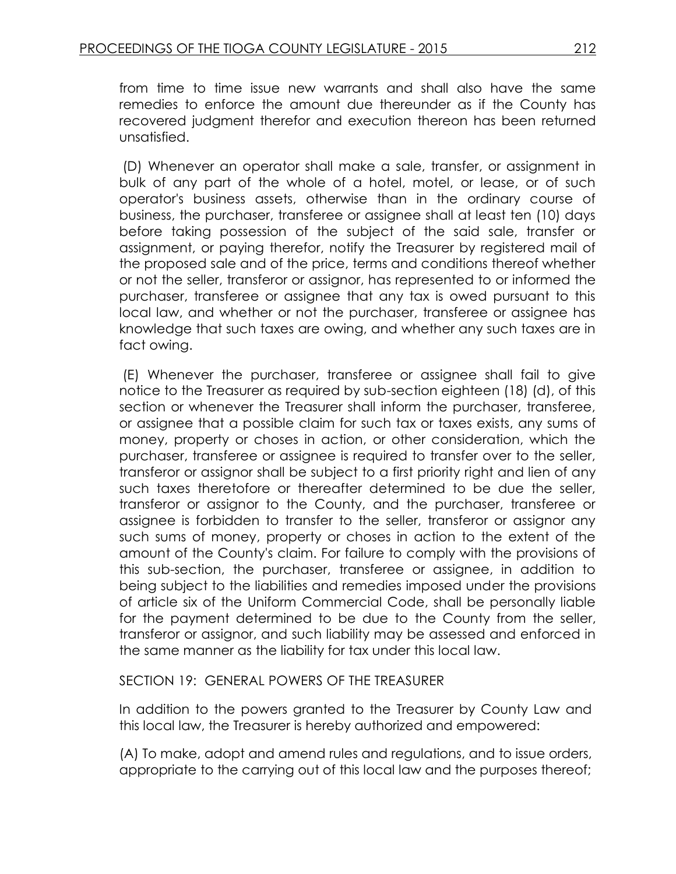from time to time issue new warrants and shall also have the same remedies to enforce the amount due thereunder as if the County has recovered judgment therefor and execution thereon has been returned unsatisfied.

(D) Whenever an operator shall make a sale, transfer, or assignment in bulk of any part of the whole of a hotel, motel, or lease, or of such operator's business assets, otherwise than in the ordinary course of business, the purchaser, transferee or assignee shall at least ten (10) days before taking possession of the subject of the said sale, transfer or assignment, or paying therefor, notify the Treasurer by registered mail of the proposed sale and of the price, terms and conditions thereof whether or not the seller, transferor or assignor, has represented to or informed the purchaser, transferee or assignee that any tax is owed pursuant to this local law, and whether or not the purchaser, transferee or assignee has knowledge that such taxes are owing, and whether any such taxes are in fact owing.

(E) Whenever the purchaser, transferee or assignee shall fail to give notice to the Treasurer as required by sub-section eighteen (18) (d), of this section or whenever the Treasurer shall inform the purchaser, transferee, or assignee that a possible claim for such tax or taxes exists, any sums of money, property or choses in action, or other consideration, which the purchaser, transferee or assignee is required to transfer over to the seller, transferor or assignor shall be subject to a first priority right and lien of any such taxes theretofore or thereafter determined to be due the seller, transferor or assignor to the County, and the purchaser, transferee or assignee is forbidden to transfer to the seller, transferor or assignor any such sums of money, property or choses in action to the extent of the amount of the County's claim. For failure to comply with the provisions of this sub-section, the purchaser, transferee or assignee, in addition to being subject to the liabilities and remedies imposed under the provisions of article six of the Uniform Commercial Code, shall be personally liable for the payment determined to be due to the County from the seller, transferor or assignor, and such liability may be assessed and enforced in the same manner as the liability for tax under this local law.

## SECTION 19: GENERAL POWERS OF THE TREASURER

In addition to the powers granted to the Treasurer by County Law and this local law, the Treasurer is hereby authorized and empowered:

(A) To make, adopt and amend rules and regulations, and to issue orders, appropriate to the carrying out of this local law and the purposes thereof;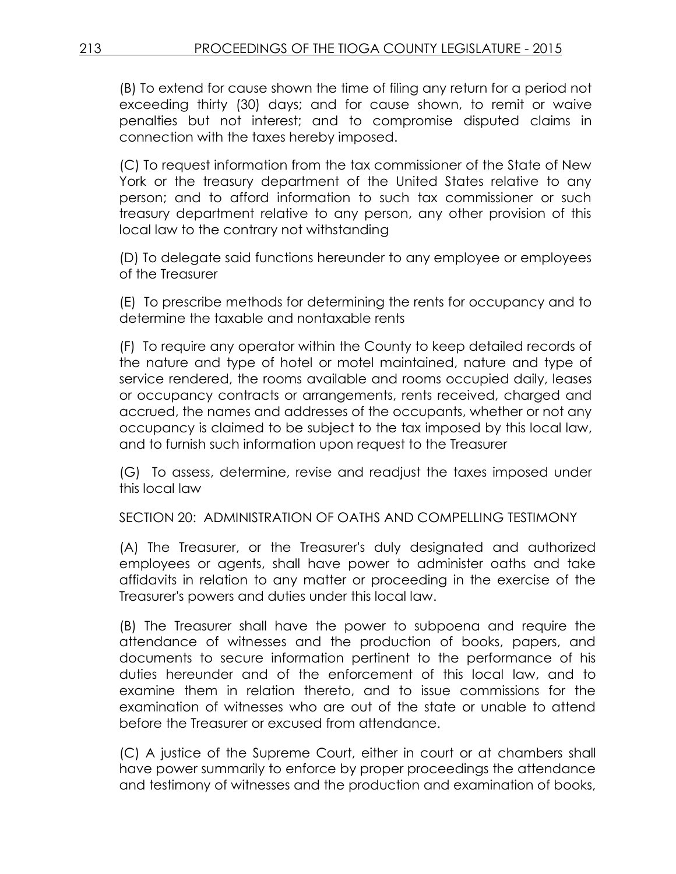(B) To extend for cause shown the time of filing any return for a period not exceeding thirty (30) days; and for cause shown, to remit or waive penalties but not interest; and to compromise disputed claims in connection with the taxes hereby imposed.

(C) To request information from the tax commissioner of the State of New York or the treasury department of the United States relative to any person; and to afford information to such tax commissioner or such treasury department relative to any person, any other provision of this local law to the contrary not withstanding

(D) To delegate said functions hereunder to any employee or employees of the Treasurer

(E) To prescribe methods for determining the rents for occupancy and to determine the taxable and nontaxable rents

(F) To require any operator within the County to keep detailed records of the nature and type of hotel or motel maintained, nature and type of service rendered, the rooms available and rooms occupied daily, leases or occupancy contracts or arrangements, rents received, charged and accrued, the names and addresses of the occupants, whether or not any occupancy is claimed to be subject to the tax imposed by this local law, and to furnish such information upon request to the Treasurer

(G) To assess, determine, revise and readjust the taxes imposed under this local law

SECTION 20: ADMINISTRATION OF OATHS AND COMPELLING TESTIMONY

(A) The Treasurer, or the Treasurer's duly designated and authorized employees or agents, shall have power to administer oaths and take affidavits in relation to any matter or proceeding in the exercise of the Treasurer's powers and duties under this local law.

(B) The Treasurer shall have the power to subpoena and require the attendance of witnesses and the production of books, papers, and documents to secure information pertinent to the performance of his duties hereunder and of the enforcement of this local law, and to examine them in relation thereto, and to issue commissions for the examination of witnesses who are out of the state or unable to attend before the Treasurer or excused from attendance.

(C) A justice of the Supreme Court, either in court or at chambers shall have power summarily to enforce by proper proceedings the attendance and testimony of witnesses and the production and examination of books,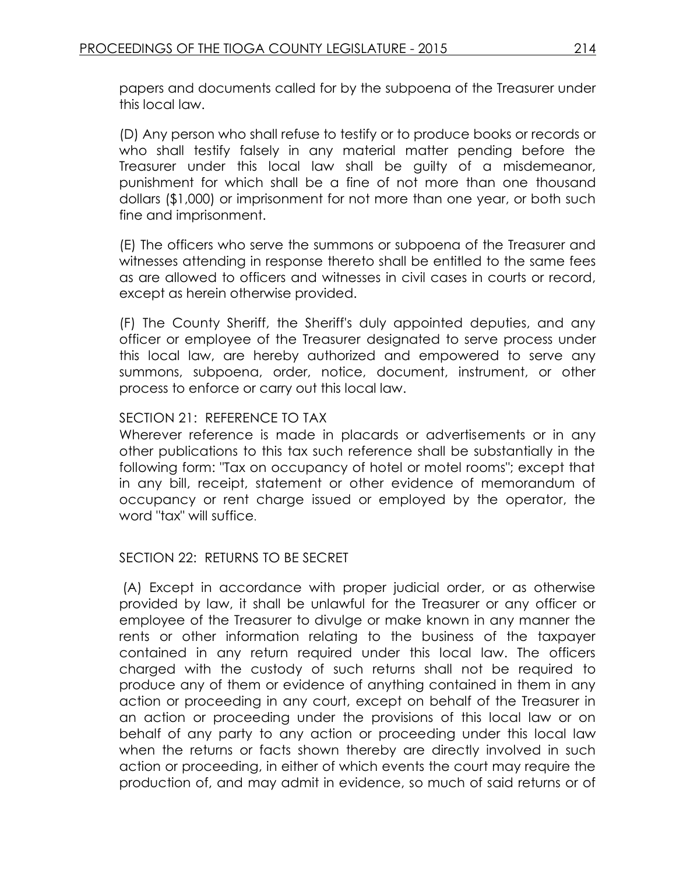papers and documents called for by the subpoena of the Treasurer under this local law.

(D) Any person who shall refuse to testify or to produce books or records or who shall testify falsely in any material matter pending before the Treasurer under this local law shall be guilty of a misdemeanor, punishment for which shall be a fine of not more than one thousand dollars (\$1,000) or imprisonment for not more than one year, or both such fine and imprisonment.

(E) The officers who serve the summons or subpoena of the Treasurer and witnesses attending in response thereto shall be entitled to the same fees as are allowed to officers and witnesses in civil cases in courts or record, except as herein otherwise provided.

(F) The County Sheriff, the Sheriff's duly appointed deputies, and any officer or employee of the Treasurer designated to serve process under this local law, are hereby authorized and empowered to serve any summons, subpoena, order, notice, document, instrument, or other process to enforce or carry out this local law.

### SECTION 21: REFERENCE TO TAX

Wherever reference is made in placards or advertisements or in any other publications to this tax such reference shall be substantially in the following form: "Tax on occupancy of hotel or motel rooms"; except that in any bill, receipt, statement or other evidence of memorandum of occupancy or rent charge issued or employed by the operator, the word "tax" will suffice.

# SECTION 22: RETURNS TO BE SECRET

(A) Except in accordance with proper judicial order, or as otherwise provided by law, it shall be unlawful for the Treasurer or any officer or employee of the Treasurer to divulge or make known in any manner the rents or other information relating to the business of the taxpayer contained in any return required under this local law. The officers charged with the custody of such returns shall not be required to produce any of them or evidence of anything contained in them in any action or proceeding in any court, except on behalf of the Treasurer in an action or proceeding under the provisions of this local law or on behalf of any party to any action or proceeding under this local law when the returns or facts shown thereby are directly involved in such action or proceeding, in either of which events the court may require the production of, and may admit in evidence, so much of said returns or of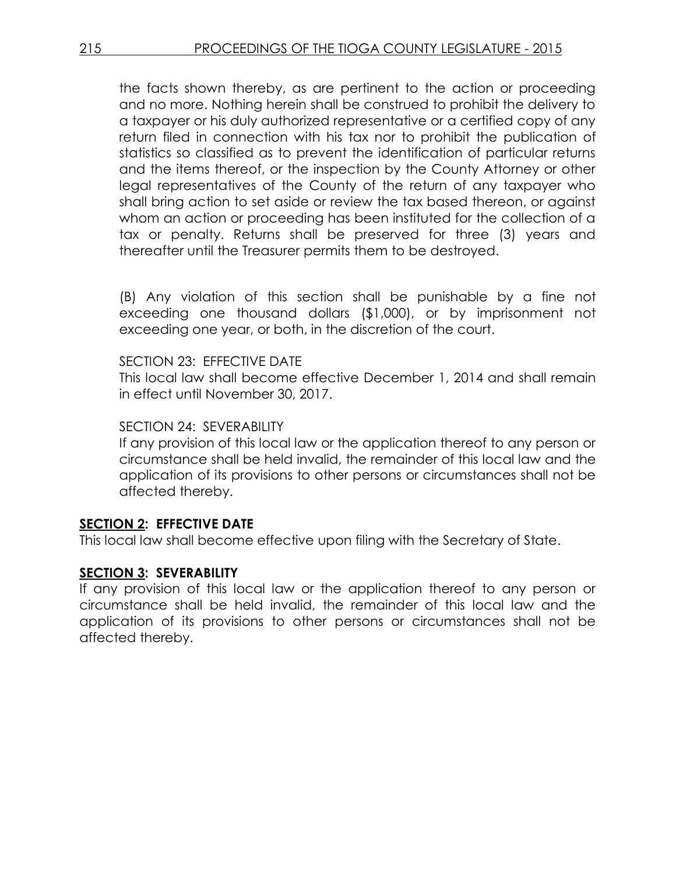the facts shown thereby, as are pertinent to the action or proceeding and no more. Nothing herein shall be construed to prohibit the delivery to a taxpayer or his duly authorized representative or a certified copy of any return filed in connection with his tax nor to prohibit the publication of statistics so classified as to prevent the identification of particular returns and the items thereof, or the inspection by the County Attorney or other legal representatives of the County of the return of any taxpayer who shall bring action to set aside or review the tax based thereon, or against whom an action or proceeding has been instituted for the collection of a tax or penalty. Returns shall be preserved for three (3) years and thereafter until the Treasurer permits them to be destroyed.

(B) Any violation of this section shall be punishable by a fine not exceeding one thousand dollars (\$1,000), or by imprisonment not exceeding one year, or both, in the discretion of the court.

#### SECTION 23: EFFECTIVE DATE

This local law shall become effective December 1, 2014 and shall remain in effect until November 30, 2017.

#### SECTION 24: SEVERABILITY

If any provision of this local law or the application thereof to any person or circumstance shall be held invalid, the remainder of this local law and the application of its provisions to other persons or circumstances shall not be affected thereby.

# **SECTION 2: EFFECTIVE DATE**

This local law shall become effective upon filing with the Secretary of State.

### **SECTION 3: SEVERABILITY**

If any provision of this local law or the application thereof to any person or circumstance shall be held invalid, the remainder of this local law and the application of its provisions to other persons or circumstances shall not be affected thereby.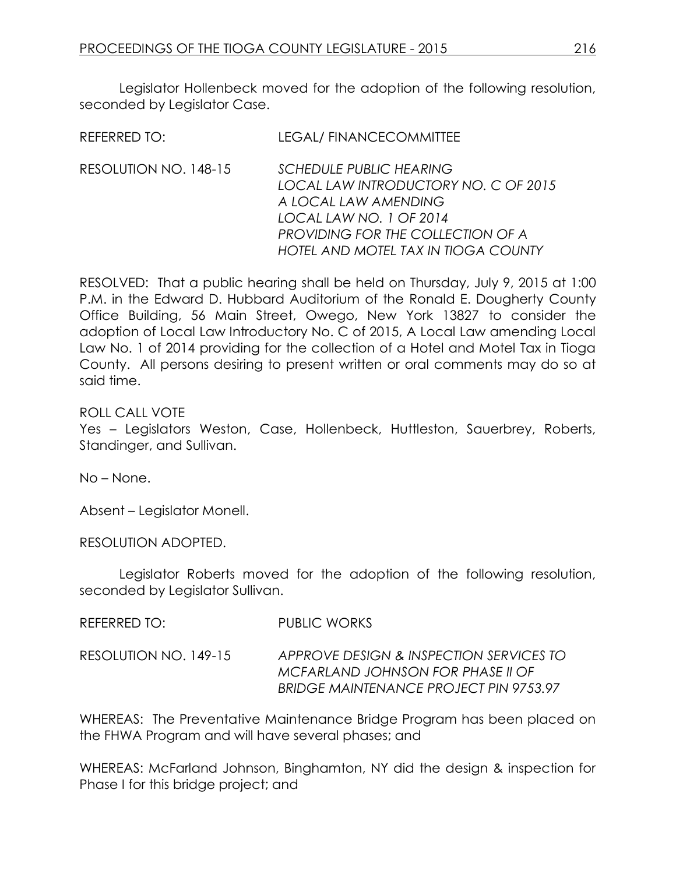Legislator Hollenbeck moved for the adoption of the following resolution, seconded by Legislator Case.

| REFERRED TO:          | <b>LEGAL/ FINANCECOMMITTEE</b>                                                                                                                                 |
|-----------------------|----------------------------------------------------------------------------------------------------------------------------------------------------------------|
| RESOLUTION NO. 148-15 | <b>SCHEDULE PUBLIC HEARING</b><br>LOCAL LAW INTRODUCTORY NO. C OF 2015<br>A LOCAL LAW AMENDING<br>LOCAL LAW NO. 1 OF 2014<br>PROVIDING FOR THE COLLECTION OF A |
|                       | HOTEL AND MOTEL TAX IN TIOGA COUNTY                                                                                                                            |

RESOLVED: That a public hearing shall be held on Thursday, July 9, 2015 at 1:00 P.M. in the Edward D. Hubbard Auditorium of the Ronald E. Dougherty County Office Building, 56 Main Street, Owego, New York 13827 to consider the adoption of Local Law Introductory No. C of 2015, A Local Law amending Local Law No. 1 of 2014 providing for the collection of a Hotel and Motel Tax in Tioga County. All persons desiring to present written or oral comments may do so at said time.

ROLL CALL VOTE

Yes – Legislators Weston, Case, Hollenbeck, Huttleston, Sauerbrey, Roberts, Standinger, and Sullivan.

No – None.

Absent – Legislator Monell.

RESOLUTION ADOPTED.

Legislator Roberts moved for the adoption of the following resolution, seconded by Legislator Sullivan.

REFERRED TO: PUBLIC WORKS

RESOLUTION NO. 149-15 *APPROVE DESIGN & INSPECTION SERVICES TO MCFARLAND JOHNSON FOR PHASE II OF BRIDGE MAINTENANCE PROJECT PIN 9753.97*

WHEREAS: The Preventative Maintenance Bridge Program has been placed on the FHWA Program and will have several phases; and

WHEREAS: McFarland Johnson, Binghamton, NY did the design & inspection for Phase I for this bridge project; and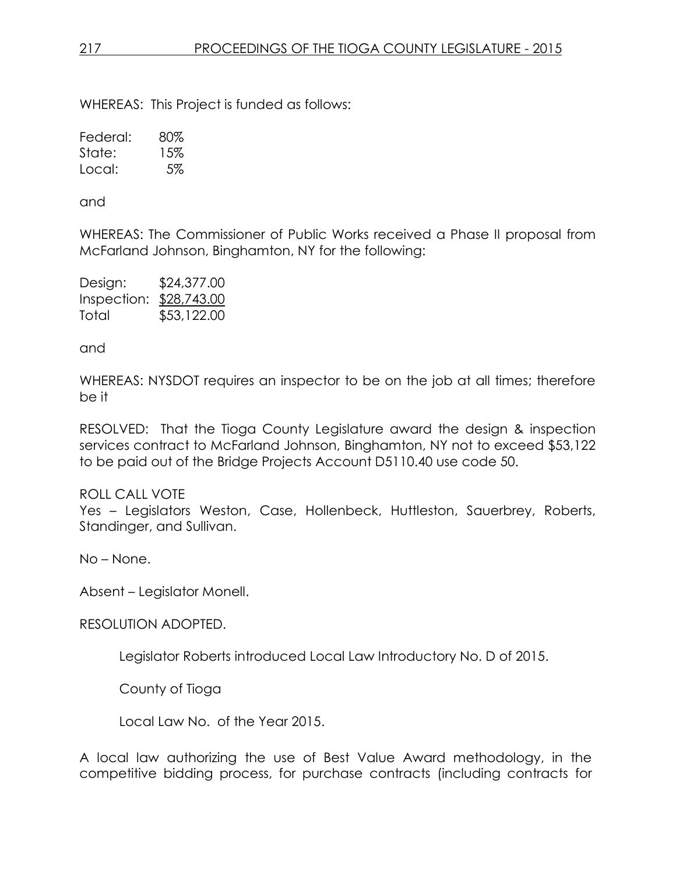WHEREAS: This Project is funded as follows:

Federal: 80% State: 15% Local: 5%

and

WHEREAS: The Commissioner of Public Works received a Phase II proposal from McFarland Johnson, Binghamton, NY for the following:

| Design:                 | \$24,377.00 |
|-------------------------|-------------|
| Inspection: \$28,743.00 |             |
| Total                   | \$53,122.00 |

and

WHEREAS: NYSDOT requires an inspector to be on the job at all times; therefore be it

RESOLVED: That the Tioga County Legislature award the design & inspection services contract to McFarland Johnson, Binghamton, NY not to exceed \$53,122 to be paid out of the Bridge Projects Account D5110.40 use code 50.

ROLL CALL VOTE Yes – Legislators Weston, Case, Hollenbeck, Huttleston, Sauerbrey, Roberts, Standinger, and Sullivan.

No – None.

Absent – Legislator Monell.

RESOLUTION ADOPTED.

Legislator Roberts introduced Local Law Introductory No. D of 2015.

County of Tioga

Local Law No. of the Year 2015.

A local law authorizing the use of Best Value Award methodology, in the competitive bidding process, for purchase contracts (including contracts for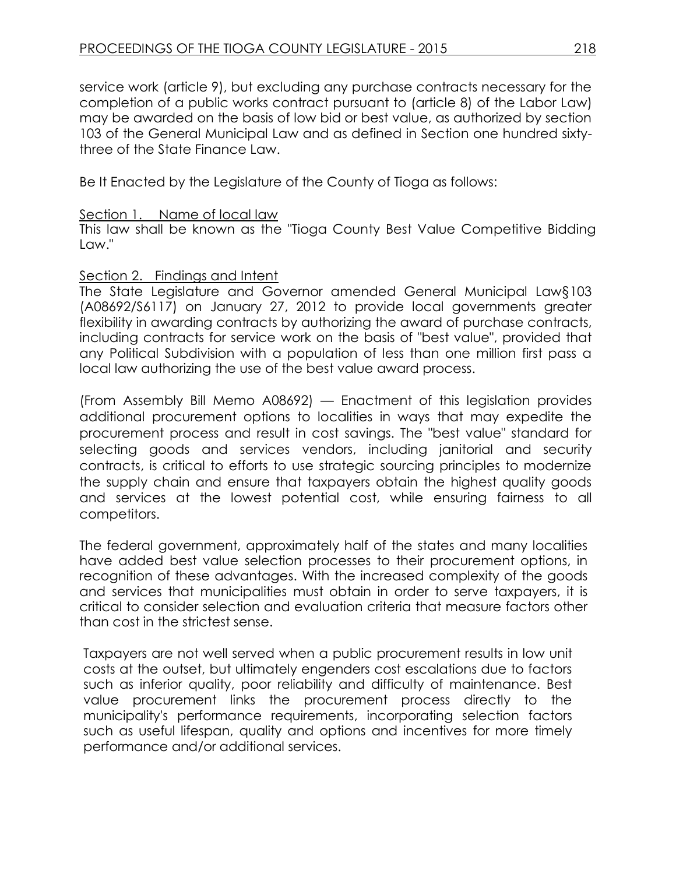service work (article 9), but excluding any purchase contracts necessary for the completion of a public works contract pursuant to (article 8) of the Labor Law) may be awarded on the basis of low bid or best value, as authorized by section 103 of the General Municipal Law and as defined in Section one hundred sixtythree of the State Finance Law.

Be It Enacted by the Legislature of the County of Tioga as follows:

### Section 1. Name of local law

This law shall be known as the "Tioga County Best Value Competitive Bidding Law."

### Section 2. Findings and Intent

The State Legislature and Governor amended General Municipal Law§103 (A08692/S6117) on January 27, 2012 to provide local governments greater flexibility in awarding contracts by authorizing the award of purchase contracts, including contracts for service work on the basis of "best value", provided that any Political Subdivision with a population of less than one million first pass a local law authorizing the use of the best value award process.

(From Assembly Bill Memo A08692) — Enactment of this legislation provides additional procurement options to localities in ways that may expedite the procurement process and result in cost savings. The "best value" standard for selecting goods and services vendors, including janitorial and security contracts, is critical to efforts to use strategic sourcing principles to modernize the supply chain and ensure that taxpayers obtain the highest quality goods and services at the lowest potential cost, while ensuring fairness to all competitors.

The federal government, approximately half of the states and many localities have added best value selection processes to their procurement options, in recognition of these advantages. With the increased complexity of the goods and services that municipalities must obtain in order to serve taxpayers, it is critical to consider selection and evaluation criteria that measure factors other than cost in the strictest sense.

Taxpayers are not well served when a public procurement results in low unit costs at the outset, but ultimately engenders cost escalations due to factors such as inferior quality, poor reliability and difficulty of maintenance. Best value procurement links the procurement process directly to the municipality's performance requirements, incorporating selection factors such as useful lifespan, quality and options and incentives for more timely performance and/or additional services.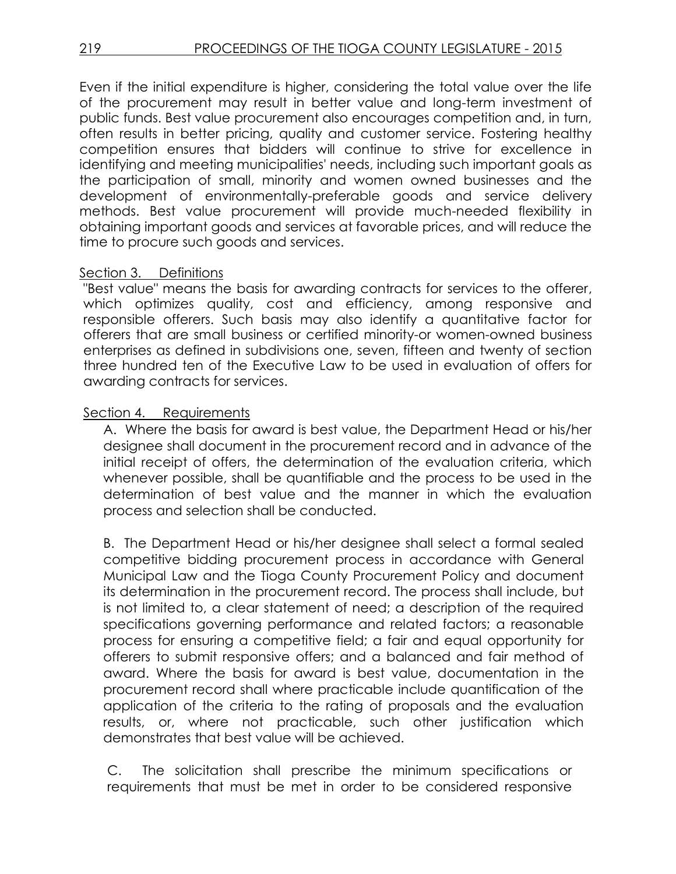Even if the initial expenditure is higher, considering the total value over the life of the procurement may result in better value and long-term investment of public funds. Best value procurement also encourages competition and, in turn, often results in better pricing, quality and customer service. Fostering healthy competition ensures that bidders will continue to strive for excellence in identifying and meeting municipalities' needs, including such important goals as the participation of small, minority and women owned businesses and the development of environmentally-preferable goods and service delivery methods. Best value procurement will provide much-needed flexibility in obtaining important goods and services at favorable prices, and will reduce the time to procure such goods and services.

#### Section 3. Definitions

"Best value" means the basis for awarding contracts for services to the offerer, which optimizes quality, cost and efficiency, among responsive and responsible offerers. Such basis may also identify a quantitative factor for offerers that are small business or certified minority-or women-owned business enterprises as defined in subdivisions one, seven, fifteen and twenty of section three hundred ten of the Executive Law to be used in evaluation of offers for awarding contracts for services.

### Section 4. Requirements

A. Where the basis for award is best value, the Department Head or his/her designee shall document in the procurement record and in advance of the initial receipt of offers, the determination of the evaluation criteria, which whenever possible, shall be quantifiable and the process to be used in the determination of best value and the manner in which the evaluation process and selection shall be conducted.

B. The Department Head or his/her designee shall select a formal sealed competitive bidding procurement process in accordance with General Municipal Law and the Tioga County Procurement Policy and document its determination in the procurement record. The process shall include, but is not limited to, a clear statement of need; a description of the required specifications governing performance and related factors; a reasonable process for ensuring a competitive field; a fair and equal opportunity for offerers to submit responsive offers; and a balanced and fair method of award. Where the basis for award is best value, documentation in the procurement record shall where practicable include quantification of the application of the criteria to the rating of proposals and the evaluation results, or, where not practicable, such other justification which demonstrates that best value will be achieved.

C. The solicitation shall prescribe the minimum specifications or requirements that must be met in order to be considered responsive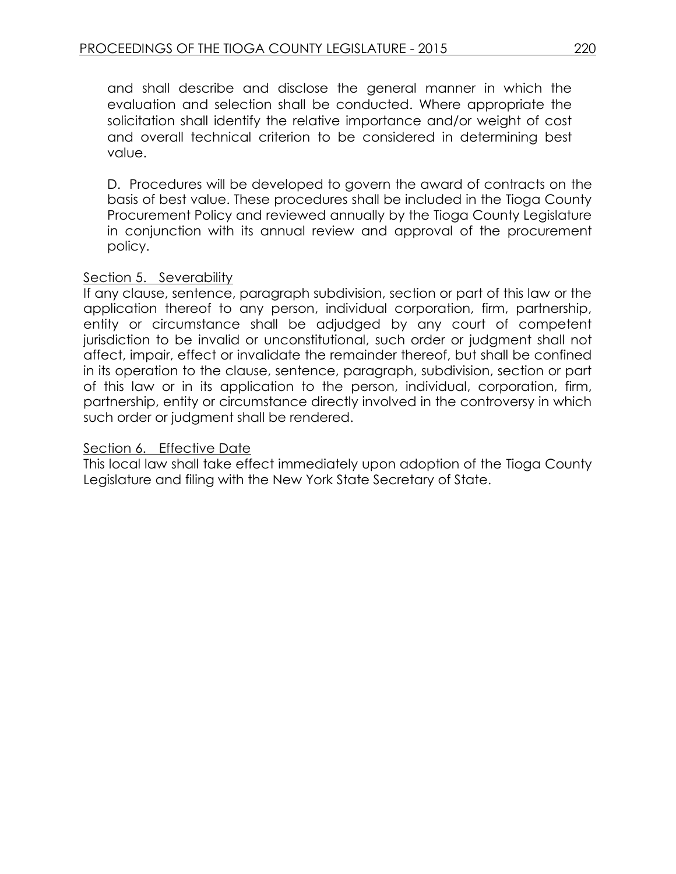and shall describe and disclose the general manner in which the evaluation and selection shall be conducted. Where appropriate the solicitation shall identify the relative importance and/or weight of cost and overall technical criterion to be considered in determining best value.

D. Procedures will be developed to govern the award of contracts on the basis of best value. These procedures shall be included in the Tioga County Procurement Policy and reviewed annually by the Tioga County Legislature in conjunction with its annual review and approval of the procurement policy.

#### Section 5. Severability

If any clause, sentence, paragraph subdivision, section or part of this law or the application thereof to any person, individual corporation, firm, partnership, entity or circumstance shall be adjudged by any court of competent jurisdiction to be invalid or unconstitutional, such order or judgment shall not affect, impair, effect or invalidate the remainder thereof, but shall be confined in its operation to the clause, sentence, paragraph, subdivision, section or part of this law or in its application to the person, individual, corporation, firm, partnership, entity or circumstance directly involved in the controversy in which such order or judgment shall be rendered.

#### Section 6. Effective Date

This local law shall take effect immediately upon adoption of the Tioga County Legislature and filing with the New York State Secretary of State.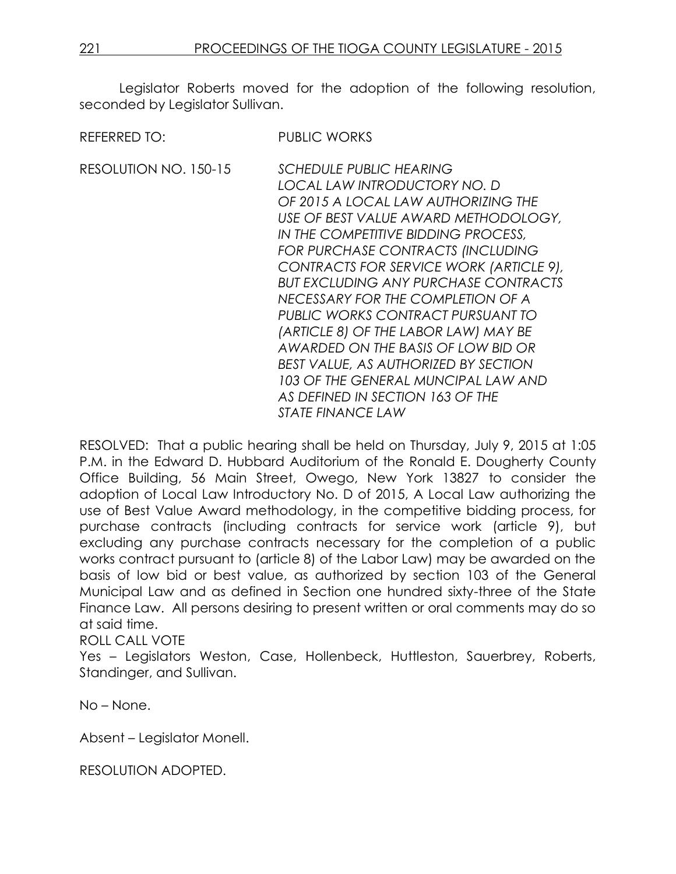| <b>REFERRED TO:</b>   | <b>PUBLIC WORKS</b>                                                                                                                                                                                                                                                                                                                                                                                                                                                                                                                                                                                                               |
|-----------------------|-----------------------------------------------------------------------------------------------------------------------------------------------------------------------------------------------------------------------------------------------------------------------------------------------------------------------------------------------------------------------------------------------------------------------------------------------------------------------------------------------------------------------------------------------------------------------------------------------------------------------------------|
| RESOLUTION NO. 150-15 | <b>SCHEDULE PUBLIC HEARING</b><br>LOCAL LAW INTRODUCTORY NO. D<br>OF 2015 A LOCAL LAW AUTHORIZING THE<br>USE OF BEST VALUE AWARD METHODOLOGY,<br>IN THE COMPETITIVE BIDDING PROCESS,<br>FOR PURCHASE CONTRACTS (INCLUDING<br>CONTRACTS FOR SERVICE WORK (ARTICLE 9),<br><b>BUT EXCLUDING ANY PURCHASE CONTRACTS</b><br>NECESSARY FOR THE COMPLETION OF A<br>PUBLIC WORKS CONTRACT PURSUANT TO<br>(ARTICLE 8) OF THE LABOR LAW) MAY BE<br>AWARDED ON THE BASIS OF LOW BID OR<br>BEST VALUE, AS AUTHORIZED BY SECTION<br>103 OF THE GENERAL MUNCIPAL LAW AND<br>AS DEFINED IN SECTION 163 OF THE<br><i><b>STATE FINANCE LAW</b></i> |

RESOLVED: That a public hearing shall be held on Thursday, July 9, 2015 at 1:05 P.M. in the Edward D. Hubbard Auditorium of the Ronald E. Dougherty County Office Building, 56 Main Street, Owego, New York 13827 to consider the adoption of Local Law Introductory No. D of 2015, A Local Law authorizing the use of Best Value Award methodology, in the competitive bidding process, for purchase contracts (including contracts for service work (article 9), but excluding any purchase contracts necessary for the completion of a public works contract pursuant to (article 8) of the Labor Law) may be awarded on the basis of low bid or best value, as authorized by section 103 of the General Municipal Law and as defined in Section one hundred sixty-three of the State Finance Law. All persons desiring to present written or oral comments may do so at said time.

ROLL CALL VOTE

Yes – Legislators Weston, Case, Hollenbeck, Huttleston, Sauerbrey, Roberts, Standinger, and Sullivan.

No – None.

Absent – Legislator Monell.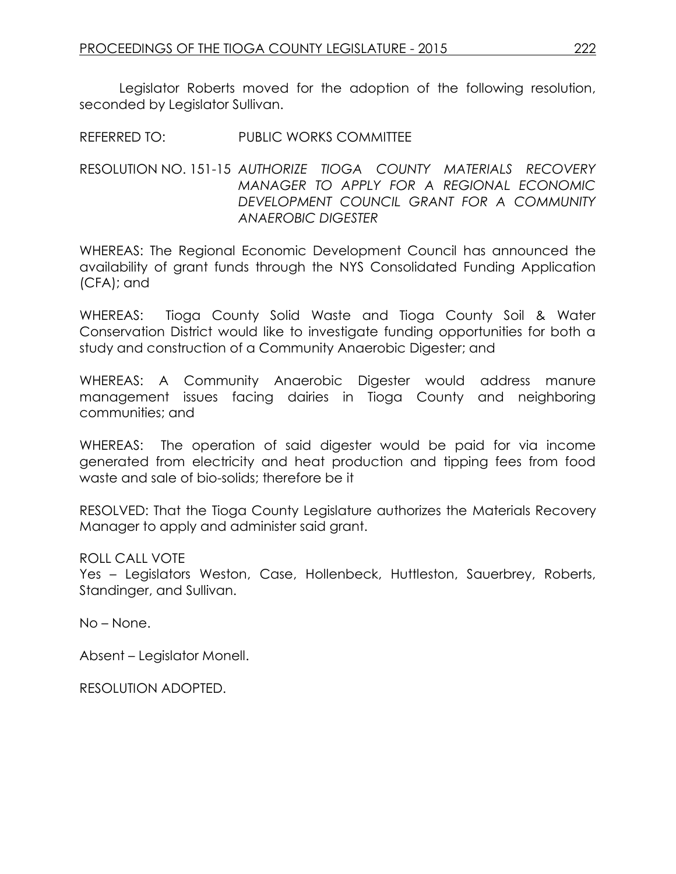REFERRED TO: PUBLIC WORKS COMMITTEE

RESOLUTION NO. 151-15 *AUTHORIZE TIOGA COUNTY MATERIALS RECOVERY MANAGER TO APPLY FOR A REGIONAL ECONOMIC DEVELOPMENT COUNCIL GRANT FOR A COMMUNITY ANAEROBIC DIGESTER*

WHEREAS: The Regional Economic Development Council has announced the availability of grant funds through the NYS Consolidated Funding Application (CFA); and

WHEREAS: Tioga County Solid Waste and Tioga County Soil & Water Conservation District would like to investigate funding opportunities for both a study and construction of a Community Anaerobic Digester; and

WHEREAS: A Community Anaerobic Digester would address manure management issues facing dairies in Tioga County and neighboring communities; and

WHEREAS: The operation of said digester would be paid for via income generated from electricity and heat production and tipping fees from food waste and sale of bio-solids; therefore be it

RESOLVED: That the Tioga County Legislature authorizes the Materials Recovery Manager to apply and administer said grant.

ROLL CALL VOTE

Yes – Legislators Weston, Case, Hollenbeck, Huttleston, Sauerbrey, Roberts, Standinger, and Sullivan.

No – None.

Absent – Legislator Monell.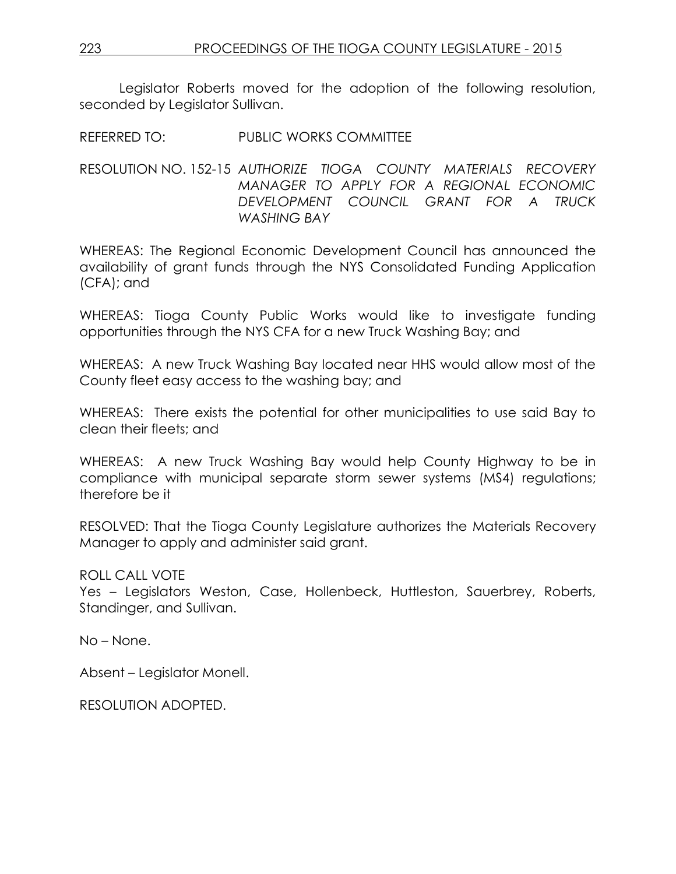REFERRED TO: PUBLIC WORKS COMMITTEE

#### RESOLUTION NO. 152-15 *AUTHORIZE TIOGA COUNTY MATERIALS RECOVERY MANAGER TO APPLY FOR A REGIONAL ECONOMIC DEVELOPMENT COUNCIL GRANT FOR A TRUCK WASHING BAY*

WHEREAS: The Regional Economic Development Council has announced the availability of grant funds through the NYS Consolidated Funding Application (CFA); and

WHEREAS: Tioga County Public Works would like to investigate funding opportunities through the NYS CFA for a new Truck Washing Bay; and

WHEREAS: A new Truck Washing Bay located near HHS would allow most of the County fleet easy access to the washing bay; and

WHEREAS: There exists the potential for other municipalities to use said Bay to clean their fleets; and

WHEREAS: A new Truck Washing Bay would help County Highway to be in compliance with municipal separate storm sewer systems (MS4) regulations; therefore be it

RESOLVED: That the Tioga County Legislature authorizes the Materials Recovery Manager to apply and administer said grant.

### ROLL CALL VOTE

Yes – Legislators Weston, Case, Hollenbeck, Huttleston, Sauerbrey, Roberts, Standinger, and Sullivan.

No – None.

Absent – Legislator Monell.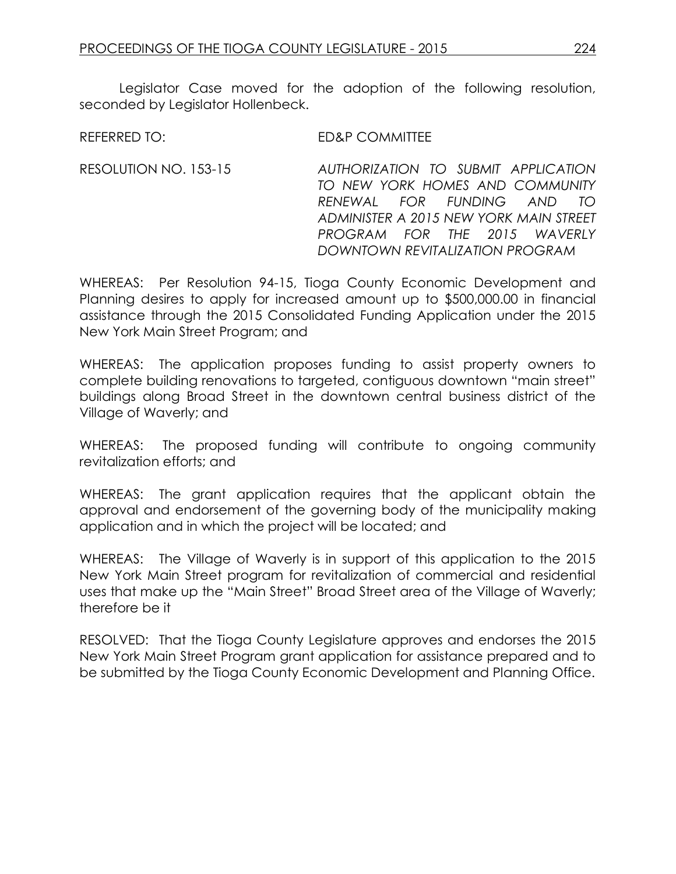Legislator Case moved for the adoption of the following resolution, seconded by Legislator Hollenbeck.

REFERRED TO: ED&P COMMITTEE

RESOLUTION NO. 153-15 *AUTHORIZATION TO SUBMIT APPLICATION TO NEW YORK HOMES AND COMMUNITY RENEWAL FOR FUNDING AND TO ADMINISTER A 2015 NEW YORK MAIN STREET PROGRAM FOR THE 2015 WAVERLY DOWNTOWN REVITALIZATION PROGRAM*

WHEREAS: Per Resolution 94-15, Tioga County Economic Development and Planning desires to apply for increased amount up to \$500,000.00 in financial assistance through the 2015 Consolidated Funding Application under the 2015 New York Main Street Program; and

WHEREAS: The application proposes funding to assist property owners to complete building renovations to targeted, contiguous downtown "main street" buildings along Broad Street in the downtown central business district of the Village of Waverly; and

WHEREAS: The proposed funding will contribute to ongoing community revitalization efforts; and

WHEREAS: The grant application requires that the applicant obtain the approval and endorsement of the governing body of the municipality making application and in which the project will be located; and

WHEREAS: The Village of Waverly is in support of this application to the 2015 New York Main Street program for revitalization of commercial and residential uses that make up the "Main Street" Broad Street area of the Village of Waverly; therefore be it

RESOLVED: That the Tioga County Legislature approves and endorses the 2015 New York Main Street Program grant application for assistance prepared and to be submitted by the Tioga County Economic Development and Planning Office.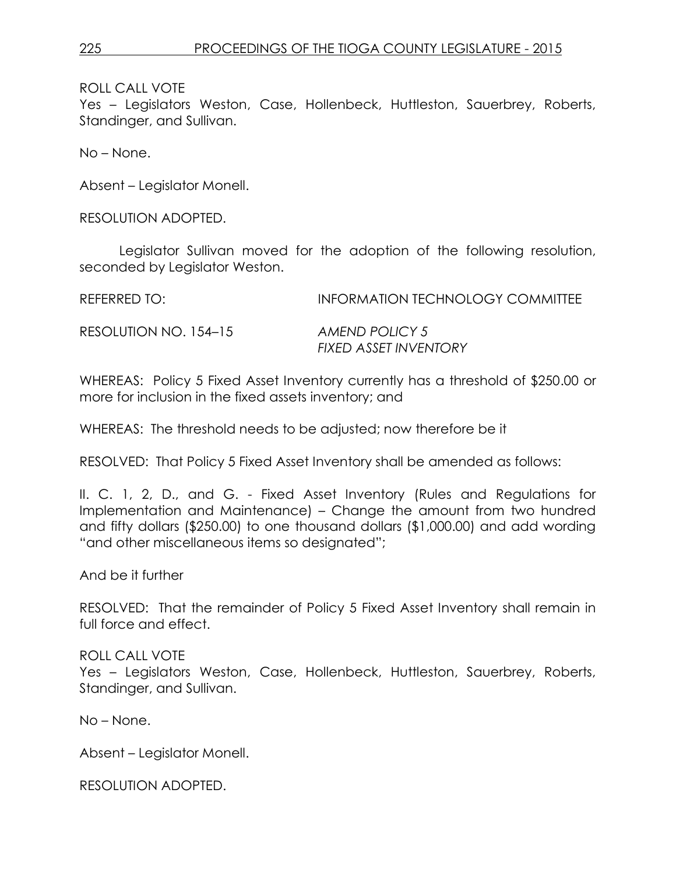ROLL CALL VOTE

Yes – Legislators Weston, Case, Hollenbeck, Huttleston, Sauerbrey, Roberts, Standinger, and Sullivan.

No – None.

Absent – Legislator Monell.

RESOLUTION ADOPTED.

Legislator Sullivan moved for the adoption of the following resolution, seconded by Legislator Weston.

REFERRED TO: INFORMATION TECHNOLOGY COMMITTEE

RESOLUTION NO. 154–15 *AMEND POLICY 5*

*FIXED ASSET INVENTORY*

WHEREAS: Policy 5 Fixed Asset Inventory currently has a threshold of \$250.00 or more for inclusion in the fixed assets inventory; and

WHEREAS: The threshold needs to be adjusted; now therefore be it

RESOLVED: That Policy 5 Fixed Asset Inventory shall be amended as follows:

II. C. 1, 2, D., and G. - Fixed Asset Inventory (Rules and Regulations for Implementation and Maintenance) – Change the amount from two hundred and fifty dollars (\$250.00) to one thousand dollars (\$1,000.00) and add wording "and other miscellaneous items so designated";

And be it further

RESOLVED: That the remainder of Policy 5 Fixed Asset Inventory shall remain in full force and effect.

ROLL CALL VOTE Yes – Legislators Weston, Case, Hollenbeck, Huttleston, Sauerbrey, Roberts, Standinger, and Sullivan.

No – None.

Absent – Legislator Monell.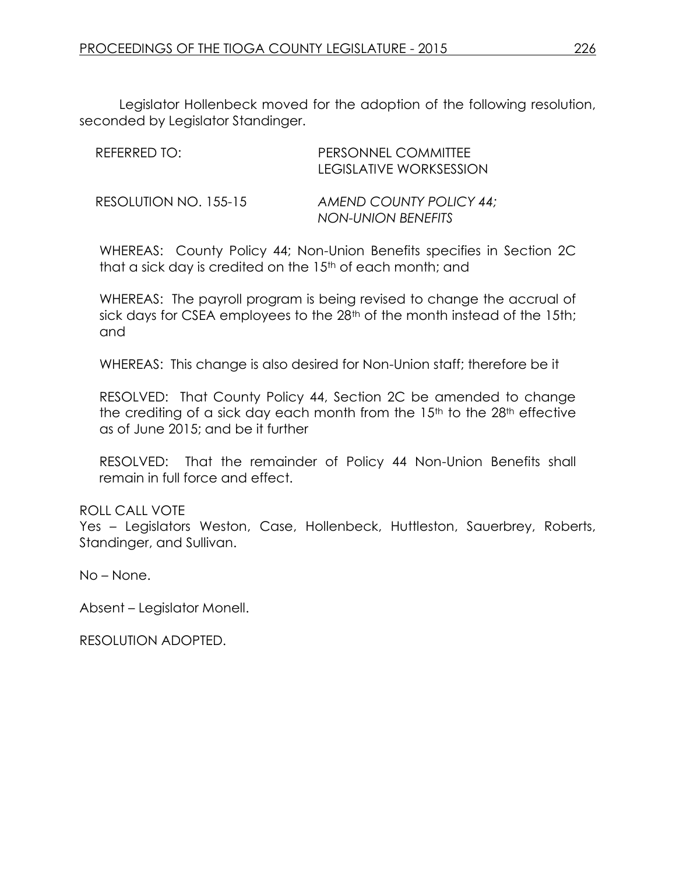Legislator Hollenbeck moved for the adoption of the following resolution, seconded by Legislator Standinger.

| REFERRED TO:          | PERSONNEL COMMITTEE<br>LEGISLATIVE WORKSESSION       |
|-----------------------|------------------------------------------------------|
| RESOLUTION NO. 155-15 | AMEND COUNTY POLICY 44:<br><b>NON-UNION BENEFITS</b> |

WHEREAS: County Policy 44; Non-Union Benefits specifies in Section 2C that a sick day is credited on the 15<sup>th</sup> of each month; and

WHEREAS: The payroll program is being revised to change the accrual of sick days for CSEA employees to the 28<sup>th</sup> of the month instead of the 15th; and

WHEREAS: This change is also desired for Non-Union staff; therefore be it

RESOLVED: That County Policy 44, Section 2C be amended to change the crediting of a sick day each month from the  $15<sup>th</sup>$  to the  $28<sup>th</sup>$  effective as of June 2015; and be it further

RESOLVED: That the remainder of Policy 44 Non-Union Benefits shall remain in full force and effect.

ROLL CALL VOTE

Yes – Legislators Weston, Case, Hollenbeck, Huttleston, Sauerbrey, Roberts, Standinger, and Sullivan.

No – None.

Absent – Legislator Monell.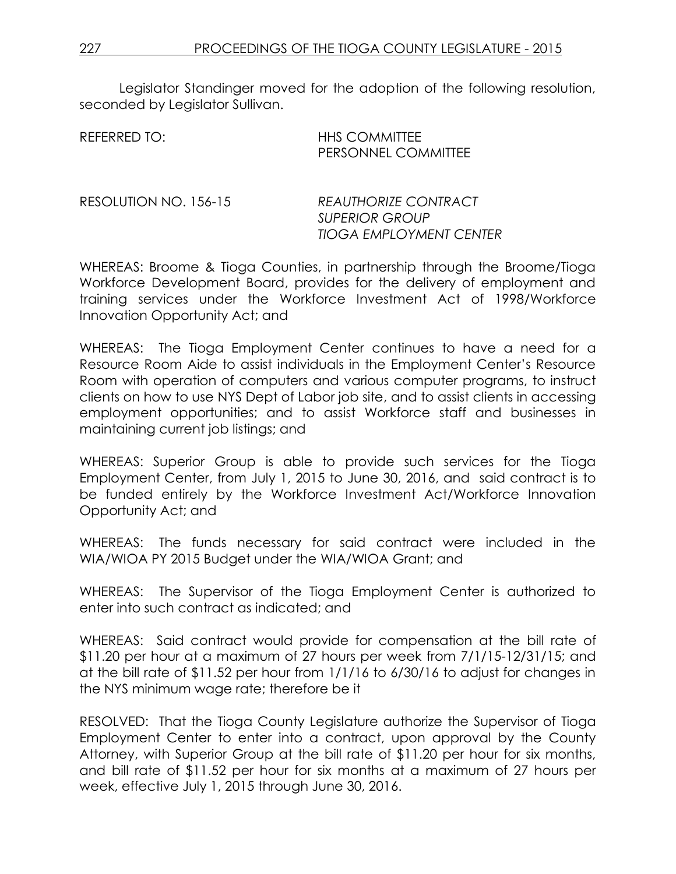| REFERRED TO: | <b>HHS COMMITTEE</b>       |
|--------------|----------------------------|
|              | <b>PERSONNEL COMMITTEE</b> |

RESOLUTION NO. 156-15 *REAUTHORIZE CONTRACT SUPERIOR GROUP TIOGA EMPLOYMENT CENTER*

WHEREAS: Broome & Tioga Counties, in partnership through the Broome/Tioga Workforce Development Board, provides for the delivery of employment and training services under the Workforce Investment Act of 1998/Workforce Innovation Opportunity Act; and

WHEREAS: The Tioga Employment Center continues to have a need for a Resource Room Aide to assist individuals in the Employment Center's Resource Room with operation of computers and various computer programs, to instruct clients on how to use NYS Dept of Labor job site, and to assist clients in accessing employment opportunities; and to assist Workforce staff and businesses in maintaining current job listings; and

WHEREAS: Superior Group is able to provide such services for the Tioga Employment Center, from July 1, 2015 to June 30, 2016, and said contract is to be funded entirely by the Workforce Investment Act/Workforce Innovation Opportunity Act; and

WHEREAS: The funds necessary for said contract were included in the WIA/WIOA PY 2015 Budget under the WIA/WIOA Grant; and

WHEREAS: The Supervisor of the Tioga Employment Center is authorized to enter into such contract as indicated; and

WHEREAS: Said contract would provide for compensation at the bill rate of \$11.20 per hour at a maximum of 27 hours per week from 7/1/15-12/31/15; and at the bill rate of \$11.52 per hour from 1/1/16 to 6/30/16 to adjust for changes in the NYS minimum wage rate; therefore be it

RESOLVED: That the Tioga County Legislature authorize the Supervisor of Tioga Employment Center to enter into a contract, upon approval by the County Attorney, with Superior Group at the bill rate of \$11.20 per hour for six months, and bill rate of \$11.52 per hour for six months at a maximum of 27 hours per week, effective July 1, 2015 through June 30, 2016.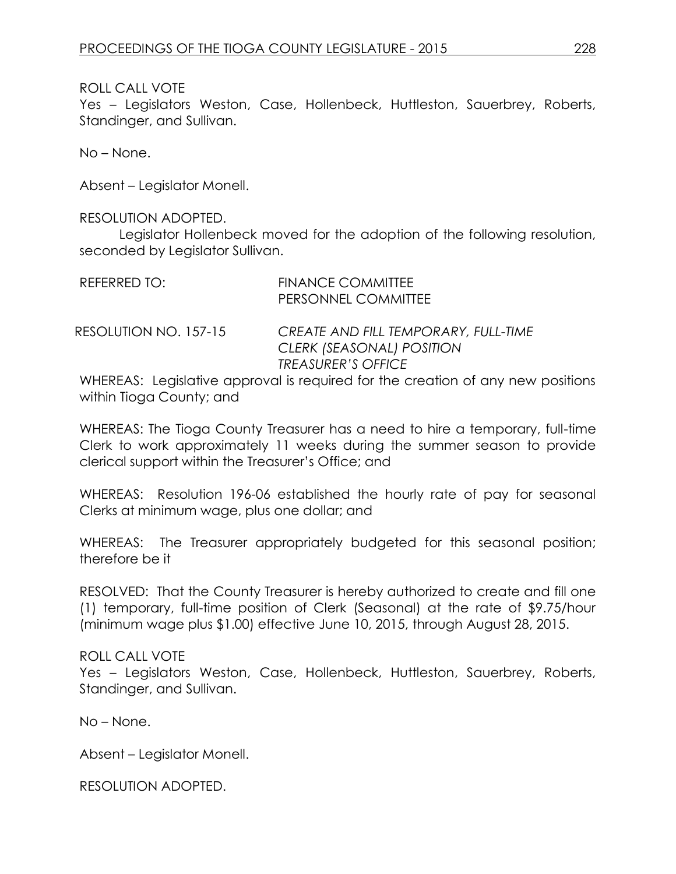### ROLL CALL VOTE

Yes – Legislators Weston, Case, Hollenbeck, Huttleston, Sauerbrey, Roberts, Standinger, and Sullivan.

No – None.

Absent – Legislator Monell.

#### RESOLUTION ADOPTED.

Legislator Hollenbeck moved for the adoption of the following resolution, seconded by Legislator Sullivan.

| REFERRED TO:          | <b>FINANCE COMMITTEE</b><br>PERSONNEL COMMITTEE |
|-----------------------|-------------------------------------------------|
| RESOLUTION NO. 157-15 | <b>CREATE AND FILL TEMPORARY, FULL-TIME</b>     |

*CLERK (SEASONAL) POSITION TREASURER'S OFFICE* 

WHEREAS: Legislative approval is required for the creation of any new positions within Tioga County; and

WHEREAS: The Tioga County Treasurer has a need to hire a temporary, full-time Clerk to work approximately 11 weeks during the summer season to provide clerical support within the Treasurer's Office; and

WHEREAS: Resolution 196-06 established the hourly rate of pay for seasonal Clerks at minimum wage, plus one dollar; and

WHEREAS: The Treasurer appropriately budgeted for this seasonal position; therefore be it

RESOLVED: That the County Treasurer is hereby authorized to create and fill one (1) temporary, full-time position of Clerk (Seasonal) at the rate of \$9.75/hour (minimum wage plus \$1.00) effective June 10, 2015, through August 28, 2015.

### ROLL CALL VOTE

Yes – Legislators Weston, Case, Hollenbeck, Huttleston, Sauerbrey, Roberts, Standinger, and Sullivan.

No – None.

Absent – Legislator Monell.